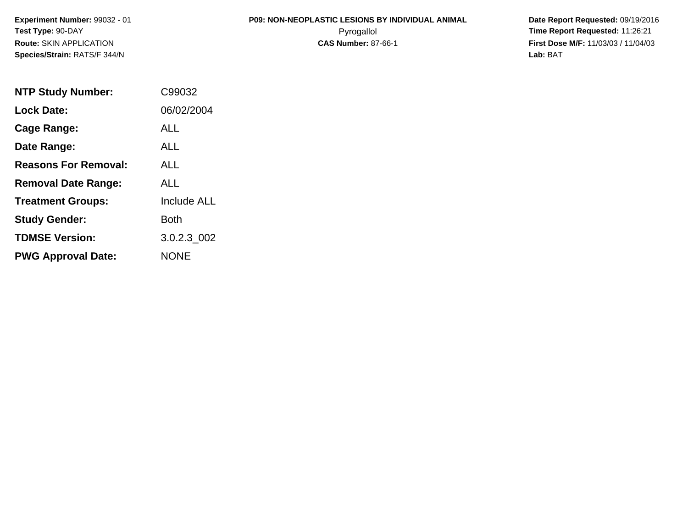# **P09: NON-NEOPLASTIC LESIONS BY INDIVIDUAL ANIMAL**

 **Date Report Requested:** 09/19/2016 Pyrogallol **Time Report Requested:** 11:26:21 **First Dose M/F:** 11/03/03 / 11/04/03<br>**Lab:** BAT **Lab:** BAT

| <b>NTP Study Number:</b>    | C99032             |
|-----------------------------|--------------------|
| <b>Lock Date:</b>           | 06/02/2004         |
| Cage Range:                 | ALL                |
| Date Range:                 | ALL                |
| <b>Reasons For Removal:</b> | ALL.               |
| <b>Removal Date Range:</b>  | ALL                |
| <b>Treatment Groups:</b>    | <b>Include ALL</b> |
| <b>Study Gender:</b>        | <b>Both</b>        |
| <b>TDMSE Version:</b>       | 3.0.2.3 002        |
| <b>PWG Approval Date:</b>   | <b>NONE</b>        |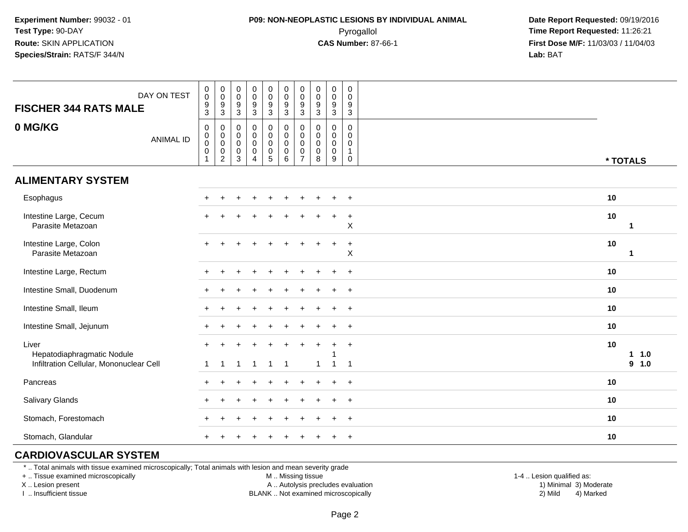## **P09: NON-NEOPLASTIC LESIONS BY INDIVIDUAL ANIMAL**Pyrogallol **Time Report Requested:** 11:26:21

 **Date Report Requested:** 09/19/2016 **First Dose M/F:** 11/03/03 / 11/04/03<br>**Lab:** BAT **Lab:** BAT

| DAY ON TEST<br><b>FISCHER 344 RATS MALE</b>                                    | $_{\rm 0}^{\rm 0}$<br>$\frac{9}{3}$                | $\begin{smallmatrix} 0\\0 \end{smallmatrix}$<br>$\frac{9}{3}$                                     | 0<br>$\pmb{0}$<br>$\frac{9}{3}$            | 0<br>$\pmb{0}$<br>$\frac{9}{3}$                                          | $\begin{array}{c} 0 \\ 0 \\ 9 \\ 3 \end{array}$                              | $\begin{smallmatrix} 0\\0 \end{smallmatrix}$<br>$\frac{9}{3}$                      | $\begin{smallmatrix} 0\\0 \end{smallmatrix}$<br>$\frac{9}{3}$                 | $\pmb{0}$<br>$\mathbf 0$<br>$\boldsymbol{9}$<br>$\mathbf 3$ | $\pmb{0}$<br>$\mathbf 0$<br>$\boldsymbol{9}$<br>$\overline{3}$ | $\pmb{0}$<br>$\mathsf{O}\xspace$<br>9<br>$\mathbf{3}$                    |                         |
|--------------------------------------------------------------------------------|----------------------------------------------------|---------------------------------------------------------------------------------------------------|--------------------------------------------|--------------------------------------------------------------------------|------------------------------------------------------------------------------|------------------------------------------------------------------------------------|-------------------------------------------------------------------------------|-------------------------------------------------------------|----------------------------------------------------------------|--------------------------------------------------------------------------|-------------------------|
| 0 MG/KG<br><b>ANIMAL ID</b>                                                    | 0<br>$\mathbf 0$<br>$\ddot{\mathbf{0}}$<br>0<br>-1 | $\mathbf 0$<br>$\begin{smallmatrix} 0\\0 \end{smallmatrix}$<br>$\boldsymbol{0}$<br>$\overline{2}$ | 0<br>0<br>$\mathbf 0$<br>0<br>$\mathbf{3}$ | $\mathbf 0$<br>$\mathbf 0$<br>$\mathbf 0$<br>$\pmb{0}$<br>$\overline{4}$ | $\pmb{0}$<br>$\pmb{0}$<br>$\ddot{\mathbf{0}}$<br>$\pmb{0}$<br>$\overline{5}$ | $\mathbf 0$<br>$\mathbf 0$<br>$\mathsf{O}\xspace$<br>$\mathbf 0$<br>$6\phantom{1}$ | $\mathbf 0$<br>$\mathbf 0$<br>$\pmb{0}$<br>$\boldsymbol{0}$<br>$\overline{7}$ | $\mathbf 0$<br>$\mathbf 0$<br>$\mathbf 0$<br>0<br>8         | $\mathbf 0$<br>$\mathbf 0$<br>$\pmb{0}$<br>$\mathbf 0$<br>9    | $\mathbf 0$<br>$\mathbf 0$<br>$\mathbf 0$<br>$\mathbf{1}$<br>$\mathbf 0$ | * TOTALS                |
| <b>ALIMENTARY SYSTEM</b>                                                       |                                                    |                                                                                                   |                                            |                                                                          |                                                                              |                                                                                    |                                                                               |                                                             |                                                                |                                                                          |                         |
| Esophagus                                                                      | $+$                                                |                                                                                                   |                                            |                                                                          |                                                                              |                                                                                    |                                                                               |                                                             |                                                                | $\overline{+}$                                                           | 10                      |
| Intestine Large, Cecum<br>Parasite Metazoan                                    |                                                    |                                                                                                   |                                            |                                                                          |                                                                              |                                                                                    |                                                                               |                                                             | ÷                                                              | $\ddot{}$<br>X                                                           | 10<br>-1                |
| Intestine Large, Colon<br>Parasite Metazoan                                    |                                                    |                                                                                                   |                                            |                                                                          |                                                                              |                                                                                    |                                                                               |                                                             |                                                                | $\ddot{}$<br>X                                                           | 10<br>$\mathbf{1}$      |
| Intestine Large, Rectum                                                        |                                                    |                                                                                                   |                                            |                                                                          |                                                                              |                                                                                    |                                                                               |                                                             |                                                                | $\ddot{}$                                                                | 10                      |
| Intestine Small, Duodenum                                                      |                                                    |                                                                                                   |                                            |                                                                          |                                                                              |                                                                                    |                                                                               |                                                             |                                                                | $\ddot{}$                                                                | 10                      |
| Intestine Small, Ileum                                                         |                                                    |                                                                                                   |                                            |                                                                          |                                                                              |                                                                                    |                                                                               |                                                             |                                                                | $\ddot{}$                                                                | 10                      |
| Intestine Small, Jejunum                                                       |                                                    |                                                                                                   |                                            |                                                                          |                                                                              |                                                                                    |                                                                               |                                                             |                                                                | $\ddot{}$                                                                | 10                      |
| Liver<br>Hepatodiaphragmatic Nodule<br>Infiltration Cellular, Mononuclear Cell | -1                                                 | $\mathbf{1}$                                                                                      | -1                                         | -1                                                                       | $\overline{1}$                                                               | $\overline{\mathbf{1}}$                                                            |                                                                               | $+$<br>$\mathbf{1}$                                         | -1                                                             | $\ddot{}$<br>$\overline{1}$                                              | 10<br>1 1.0<br>1.0<br>9 |
| Pancreas                                                                       | $\pm$                                              |                                                                                                   |                                            |                                                                          |                                                                              |                                                                                    |                                                                               |                                                             |                                                                |                                                                          | 10                      |
|                                                                                |                                                    |                                                                                                   |                                            |                                                                          |                                                                              |                                                                                    |                                                                               |                                                             |                                                                | $\ddot{}$                                                                |                         |
| Salivary Glands                                                                |                                                    |                                                                                                   |                                            |                                                                          |                                                                              |                                                                                    |                                                                               |                                                             |                                                                | $\ddot{}$                                                                | 10                      |
| Stomach, Forestomach                                                           |                                                    |                                                                                                   |                                            |                                                                          |                                                                              |                                                                                    |                                                                               |                                                             |                                                                | $\ddot{}$                                                                | 10                      |
| Stomach, Glandular                                                             |                                                    |                                                                                                   |                                            |                                                                          |                                                                              |                                                                                    |                                                                               |                                                             |                                                                | $\pm$                                                                    | 10                      |

#### **CARDIOVASCULAR SYSTEM**

\* .. Total animals with tissue examined microscopically; Total animals with lesion and mean severity grade

+ .. Tissue examined microscopically

X .. Lesion present

I .. Insufficient tissue

M .. Missing tissue

A .. Autolysis precludes evaluation

 1-4 .. Lesion qualified as: BLANK .. Not examined microscopically 2) Mild 4) Marked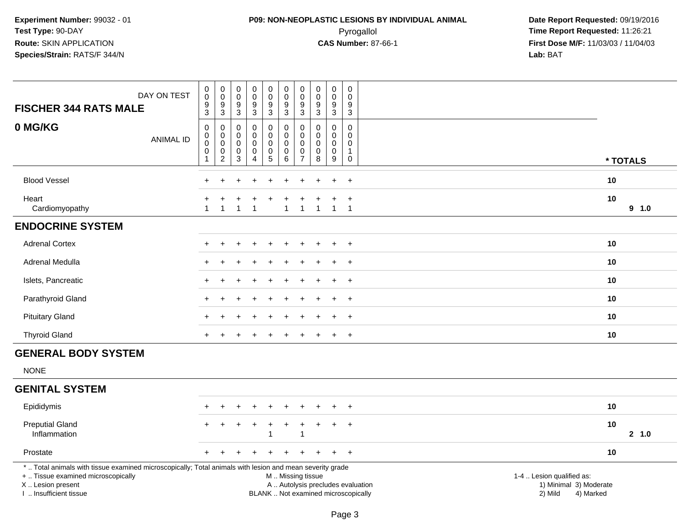## **P09: NON-NEOPLASTIC LESIONS BY INDIVIDUAL ANIMAL**Pyrogallol **Time Report Requested:** 11:26:21

 **Date Report Requested:** 09/19/2016 **First Dose M/F:** 11/03/03 / 11/04/03<br>**Lab:** BAT **Lab:** BAT

| DAY ON TEST<br><b>FISCHER 344 RATS MALE</b>                                                                                                                                                   | $\pmb{0}$<br>$\pmb{0}$<br>9<br>$\overline{3}$                | $\pmb{0}$<br>$\mathsf{O}\xspace$<br>9<br>$\overline{3}$        | $\pmb{0}$<br>$\mathsf 0$<br>9<br>$\overline{3}$                | $\pmb{0}$<br>$\pmb{0}$<br>$\boldsymbol{9}$<br>$\overline{3}$      | $\pmb{0}$<br>$\mathbf 0$<br>$9\,$<br>$\overline{3}$        | $\pmb{0}$<br>$\pmb{0}$<br>9<br>3                  | $\pmb{0}$<br>$\pmb{0}$<br>9<br>3                                       | $\pmb{0}$<br>$\pmb{0}$<br>9<br>$\overline{3}$             | $\pmb{0}$<br>$\pmb{0}$<br>$\boldsymbol{9}$<br>$\overline{3}$               | 0<br>$\mathbf 0$<br>9<br>$\sqrt{3}$                         |                                                                                                                                                         |
|-----------------------------------------------------------------------------------------------------------------------------------------------------------------------------------------------|--------------------------------------------------------------|----------------------------------------------------------------|----------------------------------------------------------------|-------------------------------------------------------------------|------------------------------------------------------------|---------------------------------------------------|------------------------------------------------------------------------|-----------------------------------------------------------|----------------------------------------------------------------------------|-------------------------------------------------------------|---------------------------------------------------------------------------------------------------------------------------------------------------------|
| 0 MG/KG<br><b>ANIMAL ID</b>                                                                                                                                                                   | $\pmb{0}$<br>$\,0\,$<br>$\boldsymbol{0}$<br>$\mathbf 0$<br>1 | 0<br>$\mathbf 0$<br>$\mathsf{O}\xspace$<br>0<br>$\overline{c}$ | 0<br>$\mathbf 0$<br>$\mathbf 0$<br>$\mathbf 0$<br>$\mathbf{3}$ | $\pmb{0}$<br>$\mathsf{O}\xspace$<br>$\pmb{0}$<br>$\mathbf 0$<br>4 | 0<br>$\mathbf 0$<br>$\mathsf{O}\xspace$<br>0<br>$\sqrt{5}$ | $\mathsf 0$<br>$\pmb{0}$<br>$\mathsf 0$<br>0<br>6 | $\pmb{0}$<br>$\mathbf 0$<br>$\pmb{0}$<br>$\mathbf 0$<br>$\overline{7}$ | $\mathbf 0$<br>$\mathbf 0$<br>$\pmb{0}$<br>$\pmb{0}$<br>8 | $\pmb{0}$<br>$\mathbf 0$<br>$\mathbf 0$<br>$\mathbf 0$<br>$\boldsymbol{9}$ | 0<br>$\Omega$<br>$\mathbf 0$<br>$\overline{1}$<br>$\pmb{0}$ | * TOTALS                                                                                                                                                |
| <b>Blood Vessel</b>                                                                                                                                                                           |                                                              |                                                                |                                                                |                                                                   |                                                            |                                                   |                                                                        |                                                           |                                                                            | $\overline{+}$                                              | 10                                                                                                                                                      |
| Heart<br>Cardiomyopathy                                                                                                                                                                       | $\mathbf{1}$                                                 | $\mathbf{1}$                                                   | 1                                                              | $\overline{1}$                                                    |                                                            | $\mathbf 1$                                       | $\mathbf{1}$                                                           | $\mathbf{1}$                                              | $\overline{1}$                                                             | $\ddot{}$<br>$\overline{1}$                                 | 10<br>9 1.0                                                                                                                                             |
| <b>ENDOCRINE SYSTEM</b>                                                                                                                                                                       |                                                              |                                                                |                                                                |                                                                   |                                                            |                                                   |                                                                        |                                                           |                                                                            |                                                             |                                                                                                                                                         |
| <b>Adrenal Cortex</b>                                                                                                                                                                         |                                                              |                                                                |                                                                |                                                                   |                                                            |                                                   |                                                                        |                                                           |                                                                            | $+$                                                         | 10                                                                                                                                                      |
| Adrenal Medulla                                                                                                                                                                               |                                                              |                                                                |                                                                |                                                                   |                                                            |                                                   |                                                                        |                                                           |                                                                            | $\overline{+}$                                              | 10                                                                                                                                                      |
| Islets, Pancreatic                                                                                                                                                                            |                                                              |                                                                |                                                                |                                                                   |                                                            |                                                   |                                                                        |                                                           |                                                                            | $\ddot{}$                                                   | 10                                                                                                                                                      |
| Parathyroid Gland                                                                                                                                                                             |                                                              |                                                                |                                                                |                                                                   |                                                            |                                                   |                                                                        |                                                           | $\div$                                                                     | $+$                                                         | 10                                                                                                                                                      |
| <b>Pituitary Gland</b>                                                                                                                                                                        |                                                              |                                                                |                                                                |                                                                   |                                                            |                                                   |                                                                        |                                                           |                                                                            | $\ddot{}$                                                   | 10                                                                                                                                                      |
| <b>Thyroid Gland</b>                                                                                                                                                                          |                                                              |                                                                |                                                                |                                                                   |                                                            |                                                   |                                                                        |                                                           |                                                                            | $\overline{+}$                                              | 10                                                                                                                                                      |
| <b>GENERAL BODY SYSTEM</b>                                                                                                                                                                    |                                                              |                                                                |                                                                |                                                                   |                                                            |                                                   |                                                                        |                                                           |                                                                            |                                                             |                                                                                                                                                         |
| <b>NONE</b>                                                                                                                                                                                   |                                                              |                                                                |                                                                |                                                                   |                                                            |                                                   |                                                                        |                                                           |                                                                            |                                                             |                                                                                                                                                         |
| <b>GENITAL SYSTEM</b>                                                                                                                                                                         |                                                              |                                                                |                                                                |                                                                   |                                                            |                                                   |                                                                        |                                                           |                                                                            |                                                             |                                                                                                                                                         |
| Epididymis                                                                                                                                                                                    |                                                              |                                                                |                                                                |                                                                   |                                                            |                                                   |                                                                        |                                                           |                                                                            | $\ddot{}$                                                   | 10                                                                                                                                                      |
| <b>Preputial Gland</b><br>Inflammation                                                                                                                                                        |                                                              | $\ddot{}$                                                      | +                                                              | $\div$                                                            | $\ddot{}$                                                  | $\ddot{}$                                         | $\ddot{}$<br>1                                                         | $\ddot{}$                                                 | $\ddot{}$                                                                  | $+$                                                         | 10<br>2, 1.0                                                                                                                                            |
| Prostate                                                                                                                                                                                      |                                                              |                                                                |                                                                |                                                                   |                                                            |                                                   |                                                                        |                                                           |                                                                            | $\overline{+}$                                              | 10                                                                                                                                                      |
| *  Total animals with tissue examined microscopically; Total animals with lesion and mean severity grade<br>+  Tissue examined microscopically<br>X  Lesion present<br>I  Insufficient tissue |                                                              |                                                                |                                                                |                                                                   |                                                            | M  Missing tissue                                 |                                                                        |                                                           |                                                                            |                                                             | 1-4  Lesion qualified as:<br>A  Autolysis precludes evaluation<br>1) Minimal 3) Moderate<br>BLANK  Not examined microscopically<br>2) Mild<br>4) Marked |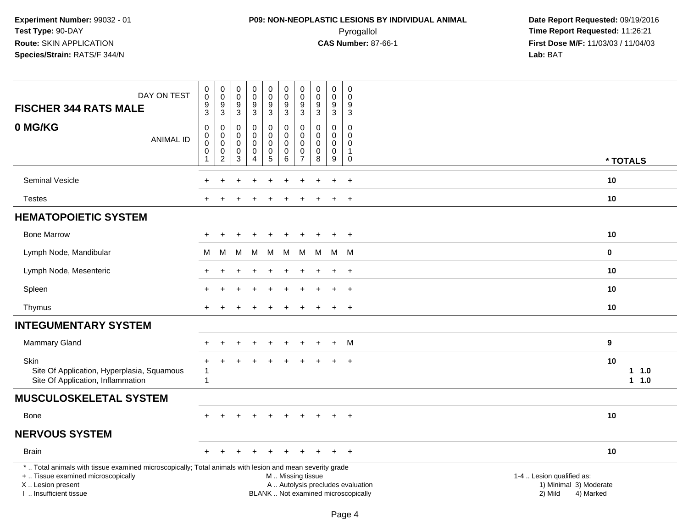## **P09: NON-NEOPLASTIC LESIONS BY INDIVIDUAL ANIMAL**Pyrogallol **Time Report Requested:** 11:26:21

 **Date Report Requested:** 09/19/2016 **First Dose M/F:** 11/03/03 / 11/04/03<br>**Lab:** BAT **Lab:** BAT

| DAY ON TEST<br><b>FISCHER 344 RATS MALE</b>                                                                                                                                                  | $\pmb{0}$<br>$\overline{0}$<br>$\boldsymbol{9}$<br>$\mathbf{3}$        | $\pmb{0}$<br>$\pmb{0}$<br>$\boldsymbol{9}$<br>$\mathbf{3}$ | 0<br>$\mathsf{O}\xspace$<br>$\boldsymbol{9}$<br>3 | $_{\rm 0}^{\rm 0}$<br>$\boldsymbol{9}$<br>$\sqrt{3}$                 | $\begin{smallmatrix} 0\\0 \end{smallmatrix}$<br>9<br>$\mathbf{3}$ | $\mathbf 0$<br>$\mathsf{O}\xspace$<br>$\boldsymbol{9}$<br>$\mathbf{3}$                        | 0<br>$\boldsymbol{0}$<br>9<br>3                     | $\begin{smallmatrix} 0\\0 \end{smallmatrix}$<br>$\boldsymbol{9}$<br>$\sqrt{3}$ | $\begin{smallmatrix}0\0\0\end{smallmatrix}$<br>9<br>$\mathbf{3}$ | 0<br>$\Omega$<br>9<br>$\mathbf{3}$                                        |                                                                             |  |
|----------------------------------------------------------------------------------------------------------------------------------------------------------------------------------------------|------------------------------------------------------------------------|------------------------------------------------------------|---------------------------------------------------|----------------------------------------------------------------------|-------------------------------------------------------------------|-----------------------------------------------------------------------------------------------|-----------------------------------------------------|--------------------------------------------------------------------------------|------------------------------------------------------------------|---------------------------------------------------------------------------|-----------------------------------------------------------------------------|--|
| 0 MG/KG<br><b>ANIMAL ID</b>                                                                                                                                                                  | $\mathbf 0$<br>$\pmb{0}$<br>$\mathbf 0$<br>$\mathbf 0$<br>$\mathbf{1}$ | 0<br>$\pmb{0}$<br>$\pmb{0}$<br>$\pmb{0}$<br>$\overline{2}$ | 0<br>$\mathbf 0$<br>$\mathbf 0$<br>0<br>3         | $\pmb{0}$<br>$\mathbf 0$<br>$\pmb{0}$<br>$\pmb{0}$<br>$\overline{4}$ | 0<br>$\mathbf 0$<br>$\mathbf 0$<br>$\mathbf 0$<br>$\overline{5}$  | $\mathbf 0$<br>$\mathbf 0$<br>$\mathbf 0$<br>$\pmb{0}$<br>6                                   | 0<br>$\mathbf 0$<br>$\Omega$<br>0<br>$\overline{7}$ | $\mathbf 0$<br>$\mathbf 0$<br>$\mathbf 0$<br>$\pmb{0}$<br>8                    | $\mathbf 0$<br>$\mathbf 0$<br>$\mathbf 0$<br>$\pmb{0}$<br>9      | $\mathbf 0$<br>$\overline{0}$<br>$\mathbf 0$<br>$\mathbf{1}$<br>$\pmb{0}$ | * TOTALS                                                                    |  |
|                                                                                                                                                                                              |                                                                        |                                                            |                                                   |                                                                      |                                                                   |                                                                                               |                                                     |                                                                                |                                                                  |                                                                           |                                                                             |  |
| <b>Seminal Vesicle</b>                                                                                                                                                                       |                                                                        |                                                            |                                                   |                                                                      |                                                                   |                                                                                               |                                                     |                                                                                |                                                                  | $\ddot{}$                                                                 | 10                                                                          |  |
| <b>Testes</b>                                                                                                                                                                                |                                                                        |                                                            |                                                   |                                                                      |                                                                   |                                                                                               |                                                     |                                                                                |                                                                  | $\overline{+}$                                                            | 10                                                                          |  |
| <b>HEMATOPOIETIC SYSTEM</b>                                                                                                                                                                  |                                                                        |                                                            |                                                   |                                                                      |                                                                   |                                                                                               |                                                     |                                                                                |                                                                  |                                                                           |                                                                             |  |
| <b>Bone Marrow</b>                                                                                                                                                                           |                                                                        |                                                            |                                                   |                                                                      |                                                                   |                                                                                               |                                                     |                                                                                | $+$                                                              | $+$                                                                       | 10                                                                          |  |
| Lymph Node, Mandibular                                                                                                                                                                       | M                                                                      | M                                                          | М                                                 | M                                                                    | М                                                                 | M                                                                                             | M                                                   | M                                                                              | M                                                                | M                                                                         | $\mathbf 0$                                                                 |  |
| Lymph Node, Mesenteric                                                                                                                                                                       |                                                                        |                                                            |                                                   |                                                                      |                                                                   |                                                                                               |                                                     |                                                                                |                                                                  | $\ddot{}$                                                                 | 10                                                                          |  |
| Spleen                                                                                                                                                                                       |                                                                        |                                                            |                                                   |                                                                      |                                                                   |                                                                                               |                                                     |                                                                                |                                                                  | $\ddot{}$                                                                 | 10                                                                          |  |
| Thymus                                                                                                                                                                                       | $+$                                                                    |                                                            |                                                   |                                                                      |                                                                   |                                                                                               |                                                     |                                                                                | $\ddot{}$                                                        | $+$                                                                       | 10                                                                          |  |
| <b>INTEGUMENTARY SYSTEM</b>                                                                                                                                                                  |                                                                        |                                                            |                                                   |                                                                      |                                                                   |                                                                                               |                                                     |                                                                                |                                                                  |                                                                           |                                                                             |  |
| Mammary Gland                                                                                                                                                                                |                                                                        |                                                            |                                                   |                                                                      |                                                                   |                                                                                               |                                                     |                                                                                | $\div$                                                           | M                                                                         | 9                                                                           |  |
| Skin<br>Site Of Application, Hyperplasia, Squamous<br>Site Of Application, Inflammation                                                                                                      | $\mathbf{1}$<br>1                                                      |                                                            |                                                   |                                                                      |                                                                   |                                                                                               |                                                     |                                                                                |                                                                  | $\ddot{}$                                                                 | 10<br>1 1.0<br>$1 1.0$                                                      |  |
| <b>MUSCULOSKELETAL SYSTEM</b>                                                                                                                                                                |                                                                        |                                                            |                                                   |                                                                      |                                                                   |                                                                                               |                                                     |                                                                                |                                                                  |                                                                           |                                                                             |  |
| Bone                                                                                                                                                                                         |                                                                        |                                                            |                                                   |                                                                      |                                                                   | ÷                                                                                             |                                                     |                                                                                | $\overline{+}$                                                   | $\overline{+}$                                                            | 10                                                                          |  |
| <b>NERVOUS SYSTEM</b>                                                                                                                                                                        |                                                                        |                                                            |                                                   |                                                                      |                                                                   |                                                                                               |                                                     |                                                                                |                                                                  |                                                                           |                                                                             |  |
| <b>Brain</b>                                                                                                                                                                                 |                                                                        |                                                            |                                                   |                                                                      |                                                                   |                                                                                               |                                                     |                                                                                |                                                                  | $\overline{+}$                                                            | 10                                                                          |  |
| *  Total animals with tissue examined microscopically; Total animals with lesion and mean severity grade<br>+  Tissue examined microscopically<br>X Lesion present<br>I. Insufficient tissue |                                                                        |                                                            |                                                   |                                                                      |                                                                   | M  Missing tissue<br>A  Autolysis precludes evaluation<br>BLANK  Not examined microscopically |                                                     |                                                                                |                                                                  |                                                                           | 1-4  Lesion qualified as:<br>1) Minimal 3) Moderate<br>2) Mild<br>4) Marked |  |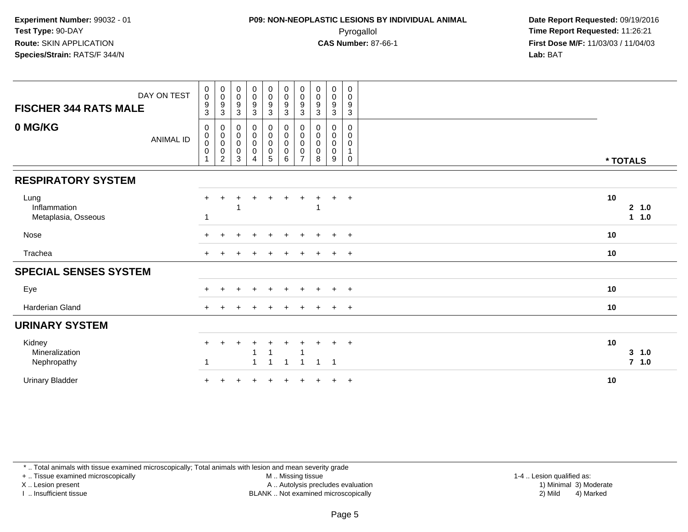## **P09: NON-NEOPLASTIC LESIONS BY INDIVIDUAL ANIMAL**Pyrogallol **Time Report Requested:** 11:26:21

 **Date Report Requested:** 09/19/2016 **First Dose M/F:** 11/03/03 / 11/04/03<br>**Lab:** BAT **Lab:** BAT

| <b>FISCHER 344 RATS MALE</b>                | DAY ON TEST      | $_{\rm 0}^{\rm 0}$<br>$^9_3$                                                            | $\begin{smallmatrix}0\\0\end{smallmatrix}$<br>$^9_3$ | $\begin{smallmatrix} 0\\0 \end{smallmatrix}$<br>$\frac{9}{3}$     | $_{\rm 0}^{\rm 0}$<br>$\boldsymbol{9}$<br>$\sqrt{3}$                              | $\begin{smallmatrix}0\0\0\end{smallmatrix}$<br>9<br>$\mathbf{3}$                                  | $_{\rm 0}^{\rm 0}$<br>$\boldsymbol{9}$<br>$\sqrt{3}$                       | $\begin{smallmatrix} 0\\0 \end{smallmatrix}$<br>$\boldsymbol{9}$<br>3        | $\begin{smallmatrix}0\\0\end{smallmatrix}$<br>$\boldsymbol{9}$<br>$\mathbf{3}$ | $\begin{smallmatrix} 0\\0 \end{smallmatrix}$<br>$\boldsymbol{9}$<br>3 | $\pmb{0}$<br>$\mathbf 0$<br>$\boldsymbol{9}$<br>3        |          |                  |
|---------------------------------------------|------------------|-----------------------------------------------------------------------------------------|------------------------------------------------------|-------------------------------------------------------------------|-----------------------------------------------------------------------------------|---------------------------------------------------------------------------------------------------|----------------------------------------------------------------------------|------------------------------------------------------------------------------|--------------------------------------------------------------------------------|-----------------------------------------------------------------------|----------------------------------------------------------|----------|------------------|
| 0 MG/KG                                     | <b>ANIMAL ID</b> | $\mathbf 0$<br>$\begin{smallmatrix}0\0\0\end{smallmatrix}$<br>$\pmb{0}$<br>$\mathbf{1}$ |                                                      | $\begin{smallmatrix}0\\0\\0\\0\end{smallmatrix}$<br>$\frac{0}{3}$ | $\begin{smallmatrix}0\\0\\0\\0\end{smallmatrix}$<br>$\mathbf 0$<br>$\overline{4}$ | $\begin{smallmatrix}0\0\0\end{smallmatrix}$<br>$\pmb{0}$<br>$\begin{array}{c} 0 \\ 5 \end{array}$ | $\begin{smallmatrix}0\0\0\end{smallmatrix}$<br>$\pmb{0}$<br>$\pmb{0}$<br>6 | $\begin{smallmatrix}0\\0\\0\end{smallmatrix}$<br>$\pmb{0}$<br>$\overline{7}$ | 0<br>$\mathbf 0$<br>$\mathbf 0$<br>$\pmb{0}$<br>8                              | 0<br>$\boldsymbol{0}$<br>$\pmb{0}$<br>$\pmb{0}$<br>9                  | 0<br>$\pmb{0}$<br>$\pmb{0}$<br>$\mathbf{1}$<br>$\pmb{0}$ | * TOTALS |                  |
| <b>RESPIRATORY SYSTEM</b>                   |                  |                                                                                         |                                                      |                                                                   |                                                                                   |                                                                                                   |                                                                            |                                                                              |                                                                                |                                                                       |                                                          |          |                  |
| Lung<br>Inflammation<br>Metaplasia, Osseous |                  | $+$                                                                                     | ÷                                                    |                                                                   | ÷                                                                                 | $\ddot{}$                                                                                         | $+$                                                                        | $\ddot{}$                                                                    | ÷.                                                                             | $+$ $+$                                                               |                                                          | 10       | 2, 1.0<br>1 1.0  |
| Nose                                        |                  | $+$                                                                                     |                                                      |                                                                   | ÷                                                                                 | $\div$                                                                                            | $\pm$                                                                      | $+$                                                                          | $\pm$                                                                          | $+$                                                                   | $+$                                                      | 10       |                  |
| Trachea                                     |                  | $+$                                                                                     |                                                      |                                                                   |                                                                                   |                                                                                                   |                                                                            |                                                                              |                                                                                | $\pm$                                                                 | $+$                                                      | 10       |                  |
| <b>SPECIAL SENSES SYSTEM</b>                |                  |                                                                                         |                                                      |                                                                   |                                                                                   |                                                                                                   |                                                                            |                                                                              |                                                                                |                                                                       |                                                          |          |                  |
| Eye                                         |                  |                                                                                         |                                                      |                                                                   |                                                                                   |                                                                                                   |                                                                            |                                                                              |                                                                                |                                                                       | $+$                                                      | 10       |                  |
| Harderian Gland                             |                  |                                                                                         |                                                      |                                                                   |                                                                                   |                                                                                                   |                                                                            |                                                                              |                                                                                |                                                                       | $^{+}$                                                   | 10       |                  |
| <b>URINARY SYSTEM</b>                       |                  |                                                                                         |                                                      |                                                                   |                                                                                   |                                                                                                   |                                                                            |                                                                              |                                                                                |                                                                       |                                                          |          |                  |
| Kidney<br>Mineralization<br>Nephropathy     |                  | 1                                                                                       |                                                      |                                                                   | $\overline{1}$                                                                    |                                                                                                   |                                                                            | $\overline{1}$                                                               | 1                                                                              | $\pm$<br>$\overline{1}$                                               | $+$                                                      | 10       | 3 1.0<br>$7$ 1.0 |
| <b>Urinary Bladder</b>                      |                  |                                                                                         |                                                      |                                                                   |                                                                                   |                                                                                                   |                                                                            |                                                                              |                                                                                | ÷.                                                                    | $+$                                                      | 10       |                  |

\* .. Total animals with tissue examined microscopically; Total animals with lesion and mean severity grade

+ .. Tissue examined microscopically

X .. Lesion present

I .. Insufficient tissue

M .. Missing tissue

Lesion present A .. Autolysis precludes evaluation 1) Minimal 3) Moderate

 1-4 .. Lesion qualified as: BLANK .. Not examined microscopically 2) Mild 4) Marked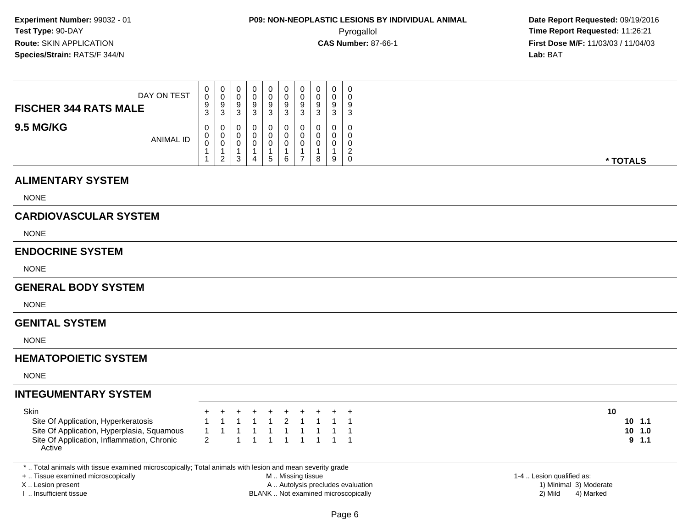| DAY ON TEST<br><b>FISCHER 344 RATS MALE</b> | U<br>0<br>9<br>3 | ◡<br>9<br>3  | O<br>N | 0<br>9<br>3 | 0<br>0<br>9<br>ত | 0<br>0<br>9<br>3 | 9<br>J | $\Omega$<br>3             | 0<br>0<br>9<br>3                          |
|---------------------------------------------|------------------|--------------|--------|-------------|------------------|------------------|--------|---------------------------|-------------------------------------------|
| <b>9.5 MG/KG</b><br><b>ANIMAL ID</b>        | 0<br>U<br>◡      | ◡<br>່າ<br>∼ |        | 0.<br>5     | 6                | 0<br>v<br>0      | 8      | $\Omega$<br>$\Omega$<br>9 | 0<br>0<br>0<br>$\sim$<br>∼<br>$\mathbf 0$ |

#### **ALIMENTARY SYSTEM**

NONE

### **CARDIOVASCULAR SYSTEM**

NONE

#### **ENDOCRINE SYSTEM**

NONE

#### **GENERAL BODY SYSTEM**

**NONE** 

#### **GENITAL SYSTEM**

NONE

### **HEMATOPOIETIC SYSTEM**

NONE

### **INTEGUMENTARY SYSTEM**

| Skin                                       |                     |  |  |  | + + + + + + + + + + |  |
|--------------------------------------------|---------------------|--|--|--|---------------------|--|
| Site Of Application, Hyperkeratosis        |                     |  |  |  | 1 1 1 1 1 2 1 1 1 1 |  |
| Site Of Application, Hyperplasia, Squamous | 1 1 1 1 1 1 1 1 1 1 |  |  |  |                     |  |
| Site Of Application, Inflammation, Chronic | 2 1 1 1 1 1 1 1 1   |  |  |  |                     |  |
| Active                                     |                     |  |  |  |                     |  |

\* .. Total animals with tissue examined microscopically; Total animals with lesion and mean severity grade

+ .. Tissue examined microscopically

X .. Lesion present

I .. Insufficient tissue

 M .. Missing tissueA .. Autolysis precludes evaluation

BLANK .. Not examined microscopically 2) Mild 4) Marked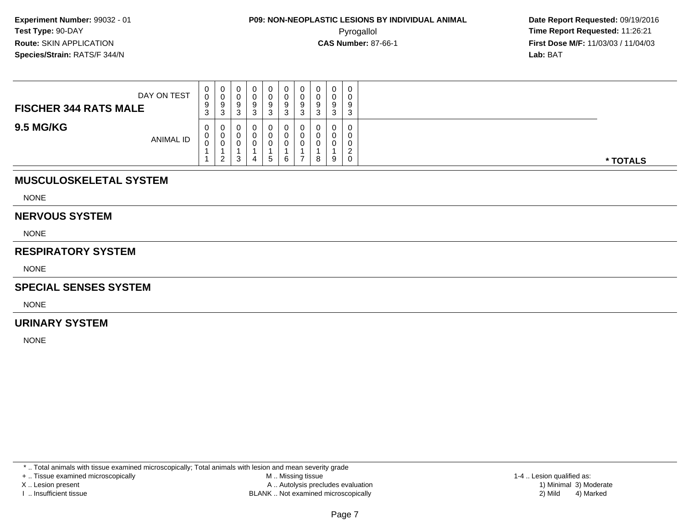**Date Report Requested:** 09/19/2016 **First Dose M/F:** 11/03/03 / 11/04/03<br>**Lab:** BAT **Lab:** BAT

| DAY ON TEST<br><b>FISCHER 344 RATS MALE</b> | $\mathbf{0}$<br>0<br>9<br>3 | $\mathbf 0$<br>v<br>9<br>3 | O | 0<br>0<br>9<br>3            | 9<br>◠ | 0<br>0<br>9<br>-3             | 0<br>U<br>9<br>ີ<br>C. | 0<br>0<br>9<br>3 | 0<br>9<br>◠<br>J |          |
|---------------------------------------------|-----------------------------|----------------------------|---|-----------------------------|--------|-------------------------------|------------------------|------------------|------------------|----------|
| <b>9.5 MG/KG</b><br><b>ANIMAL ID</b>        | $\mathbf{0}$<br>U<br>◡      | 0<br>0<br>J.<br>ົ          |   | 0<br>0<br>0<br>$\mathbf{c}$ | 6      | 0<br>0<br>0<br>$\overline{ }$ | 0<br>U<br>v<br>8       | $\mathbf 0$<br>9 | $\Omega$<br>0    | * TOTALS |

## **MUSCULOSKELETAL SYSTEM**

NONE

#### **NERVOUS SYSTEM**

NONE

#### **RESPIRATORY SYSTEM**

NONE

#### **SPECIAL SENSES SYSTEM**

NONE

#### **URINARY SYSTEM**

NONE

\* .. Total animals with tissue examined microscopically; Total animals with lesion and mean severity grade

+ .. Tissue examined microscopically

X .. Lesion present

I .. Insufficient tissue

 M .. Missing tissueA .. Autolysis precludes evaluation

BLANK .. Not examined microscopically 2) Mild 4) Marked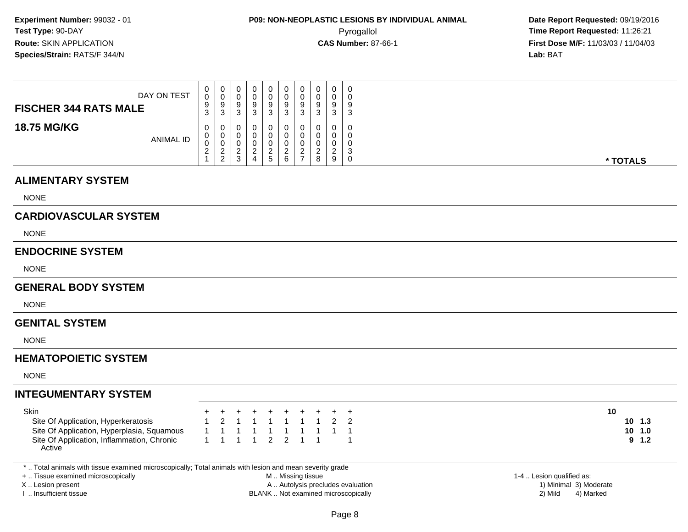| DAY ON TEST<br><b>FISCHER 344 RATS MALE</b> | 0<br>0<br>9<br>$\sim$<br>- ၁        | 0<br>U<br>9<br>-3     | J | 0<br>0<br>9<br>J       | 0<br>0<br>9<br>ັບ | 0<br>U<br>9<br>3                   | 0<br>U<br>9<br>⌒<br>ັ | $\Omega$<br>় | $\mathbf 0$<br>0<br>9<br>3      |
|---------------------------------------------|-------------------------------------|-----------------------|---|------------------------|-------------------|------------------------------------|-----------------------|---------------|---------------------------------|
| <b>18.75 MG/KG</b><br><b>ANIMAL ID</b>      | 0<br>0<br>0<br>$\sim$<br>$\epsilon$ | 0<br>0<br>U<br>റ<br>2 |   | 0<br>O<br>$\mathbf{c}$ | 0<br>0<br>6       | 0<br>υ<br>$\overline{\phantom{a}}$ | 0<br>υ<br>⌒<br>8      |               | 0<br>0<br>0<br>$\sim$<br>د<br>0 |

#### **ALIMENTARY SYSTEM**

NONE

### **CARDIOVASCULAR SYSTEM**

NONE

#### **ENDOCRINE SYSTEM**

NONE

#### **GENERAL BODY SYSTEM**

**NONE** 

#### **GENITAL SYSTEM**

NONE

### **HEMATOPOIETIC SYSTEM**

NONE

### **INTEGUMENTARY SYSTEM**

| <b>Skin</b>                                          |  | + + + + + + + + + + |  |  |  |  |
|------------------------------------------------------|--|---------------------|--|--|--|--|
| Site Of Application, Hyperkeratosis                  |  | 1 2 1 1 1 1 1 1 2 2 |  |  |  |  |
| Site Of Application, Hyperplasia, Squamous           |  | 1 1 1 1 1 1 1 1 1 1 |  |  |  |  |
| Site Of Application, Inflammation, Chronic<br>Active |  | 1 1 1 1 2 2 1 1 1   |  |  |  |  |

\* .. Total animals with tissue examined microscopically; Total animals with lesion and mean severity grade

+ .. Tissue examined microscopically

X .. Lesion present

I .. Insufficient tissue

 M .. Missing tissueA .. Autolysis precludes evaluation

BLANK .. Not examined microscopically 2) Mild 4) Marked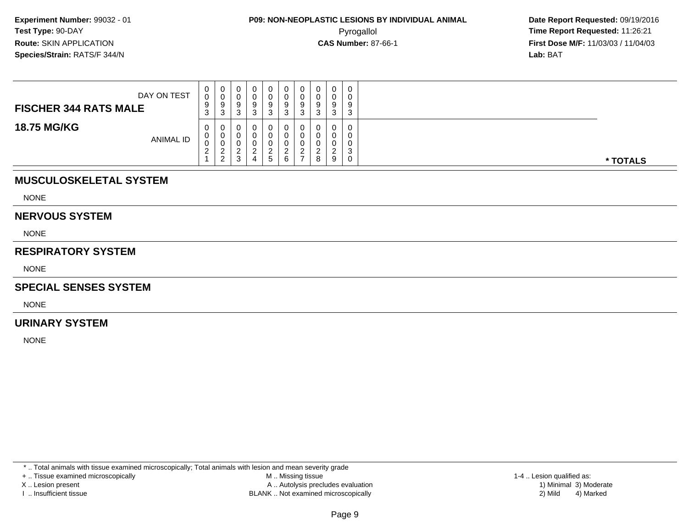| DAY ON TEST<br><b>FISCHER 344 RATS MALE</b> | 0<br>0<br>9<br>ົ<br><b>ت</b>   | 0<br>v<br>9<br>3                               | Q | 0<br>υ<br>-9<br>⌒<br>J      | 9      | 0<br>0<br>9<br>-3                   | 0<br>0<br>9<br>ົ<br>J.                | $\Omega$<br>v<br>0<br>u | $\sim$<br>J |          |
|---------------------------------------------|--------------------------------|------------------------------------------------|---|-----------------------------|--------|-------------------------------------|---------------------------------------|-------------------------|-------------|----------|
| <b>18.75 MG/KG</b><br>ANIMAL ID             | 0<br>v<br>$\sim$<br>$\epsilon$ | 0<br>0<br>U<br>ົ<br><u>_</u><br>່າ<br><u>_</u> |   | 0<br>0<br>u<br><sub>5</sub> | υ<br>⌒ | 0<br>c<br><u>_</u><br>$\rightarrow$ | 0<br>0<br>0<br><sup>o</sup><br>_<br>8 | a                       | ົ           | * TOTALS |

## **MUSCULOSKELETAL SYSTEM**

NONE

#### **NERVOUS SYSTEM**

NONE

#### **RESPIRATORY SYSTEM**

NONE

#### **SPECIAL SENSES SYSTEM**

NONE

#### **URINARY SYSTEM**

NONE

\* .. Total animals with tissue examined microscopically; Total animals with lesion and mean severity grade

+ .. Tissue examined microscopically

X .. Lesion present

I .. Insufficient tissue

 M .. Missing tissueA .. Autolysis precludes evaluation

 1-4 .. Lesion qualified as: BLANK .. Not examined microscopically 2) Mild 4) Marked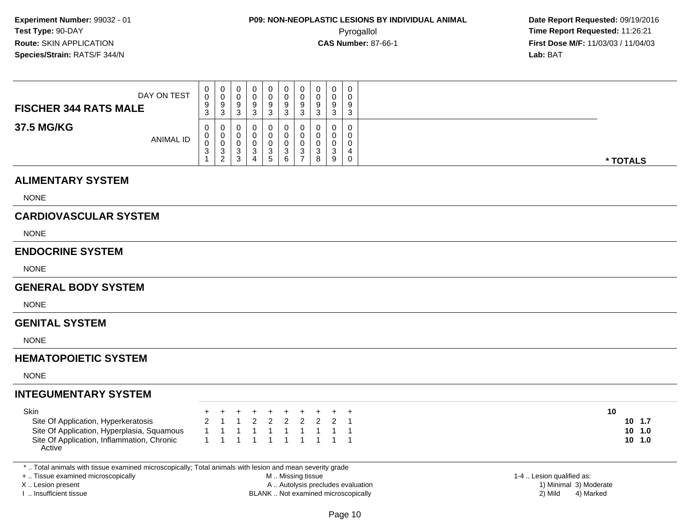| DAY ON TEST<br><b>FISCHER 344 RATS MALE</b> | 0<br>0<br>9<br>ີ<br><b>ن</b> | U<br>9<br>ີ<br>ູບ                       |  | 0<br>9<br>J   | 0<br>9<br>ົ<br>◡ | 0<br>υ<br>9<br>ാ<br>ು |   | 0<br>3           | 0<br>0<br>9<br>3      |          |
|---------------------------------------------|------------------------------|-----------------------------------------|--|---------------|------------------|-----------------------|---|------------------|-----------------------|----------|
| 37.5 MG/KG<br><b>ANIMAL ID</b>              | 0<br>U<br>U<br>- ა           | v<br>◡<br>$\sqrt{2}$<br>- ၁<br>- 2<br>∸ |  | O.<br>ົ<br>b. | $\sim$<br>◡<br>6 | 0<br>υ<br>υ<br>ີ<br>ು | 8 | 0<br>$\sim$<br>9 | 0<br>0<br>0<br>4<br>0 | * TOTALS |

#### **ALIMENTARY SYSTEM**

NONE

### **CARDIOVASCULAR SYSTEM**

NONE

#### **ENDOCRINE SYSTEM**

NONE

#### **GENERAL BODY SYSTEM**

NONE

#### **GENITAL SYSTEM**

NONE

### **HEMATOPOIETIC SYSTEM**

NONE

### **INTEGUMENTARY SYSTEM**

| Skin                                       |  |  |                     |  |  | + + + + + + + + + + |
|--------------------------------------------|--|--|---------------------|--|--|---------------------|
| Site Of Application, Hyperkeratosis        |  |  | 2 1 1 2 2 2 2 2 2 1 |  |  |                     |
| Site Of Application, Hyperplasia, Squamous |  |  | 1 1 1 1 1 1 1 1 1 1 |  |  |                     |
| Site Of Application, Inflammation, Chronic |  |  | 1 1 1 1 1 1 1 1 1 1 |  |  |                     |
| Active                                     |  |  |                     |  |  |                     |

\* .. Total animals with tissue examined microscopically; Total animals with lesion and mean severity grade

+ .. Tissue examined microscopically

X .. Lesion present

I .. Insufficient tissue

 M .. Missing tissueA .. Autolysis precludes evaluation

BLANK .. Not examined microscopically 2) Mild 4) Marked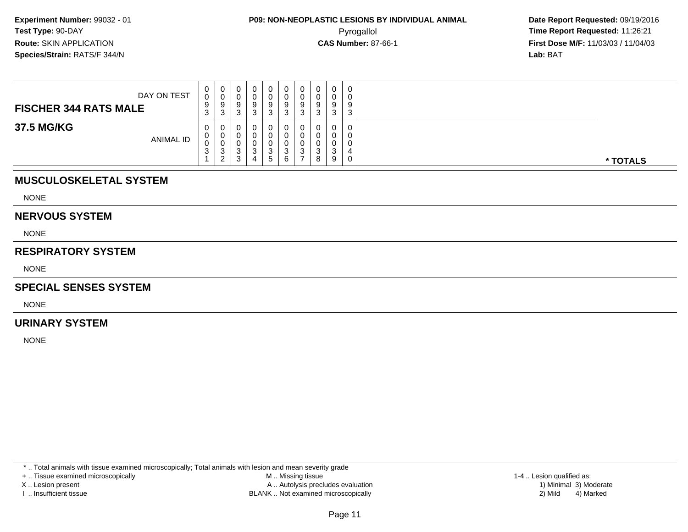**Date Report Requested:** 09/19/2016 **First Dose M/F:** 11/03/03 / 11/04/03<br>**Lab:** BAT **Lab:** BAT

| DAY ON TEST<br><b>FISCHER 344 RATS MALE</b> | $\mathbf{0}$<br>0<br>9<br>ົ<br>- ၁ | $\mathbf 0$<br>◡<br>9<br>3 | 0<br>υ<br>$\Omega$<br>◡<br>n<br>ບ               |   | v<br>Q | U<br>u<br>9<br>J | ◡<br>ν<br>9<br>3 | 0<br>0<br>a<br>್<br>ົ<br>J. | 0<br>0<br>9<br>3 | 0<br>0<br>9<br>3      |          |
|---------------------------------------------|------------------------------------|----------------------------|-------------------------------------------------|---|--------|------------------|------------------|-----------------------------|------------------|-----------------------|----------|
| 37.5 MG/KG<br><b>ANIMAL ID</b>              | $\mathbf{0}$<br>0<br>0<br>ົ<br>ູບ  | U<br>υ<br>◡<br>3<br>ົ      | U<br>υ<br>υ<br>$\sim$<br>ັ<br><sup>o</sup><br>ບ | 4 |        | υ<br>⌒           | υ<br>J           | 0<br>0<br>0<br>ົ<br>ັ<br>8  | 0<br>0<br>3<br>9 | 0<br>0<br>0<br>4<br>0 | * TOTALS |

## **MUSCULOSKELETAL SYSTEM**

NONE

#### **NERVOUS SYSTEM**

NONE

#### **RESPIRATORY SYSTEM**

NONE

### **SPECIAL SENSES SYSTEM**

NONE

#### **URINARY SYSTEM**

NONE

\* .. Total animals with tissue examined microscopically; Total animals with lesion and mean severity grade

+ .. Tissue examined microscopically

X .. Lesion present

I .. Insufficient tissue

 M .. Missing tissueA .. Autolysis precludes evaluation

BLANK .. Not examined microscopically 2) Mild 4) Marked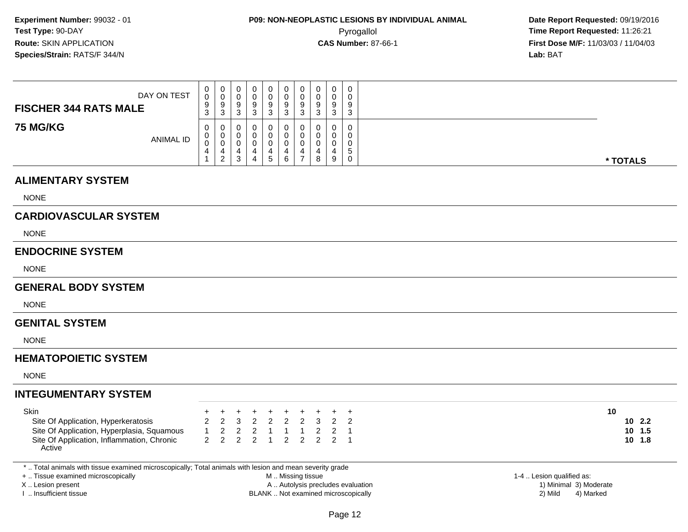| DAY ON TEST<br><b>FISCHER 344 RATS MALE</b> | U<br>0<br>9<br>3 | $\cup$<br>-9<br>-3 | 0<br>v<br>9<br>ັ | ົ<br>J |   | ν<br>u<br>9<br>J | 9<br>3 | J | $\mathbf 0$<br>0<br>a<br>◡<br>3 | 9<br>$\sim$ |          |
|---------------------------------------------|------------------|--------------------|------------------|--------|---|------------------|--------|---|---------------------------------|-------------|----------|
| <b>75 MG/KG</b><br>ANIMAL ID                | 0<br>υ<br>v<br>4 | 0<br>U<br>4        | U<br>v<br>U<br>◡ |        | 5 | U<br>6           | U      | 8 | $\mathbf 0$<br>0<br>0<br>9      | ∽<br>ີ<br>v | * TOTALS |

#### **ALIMENTARY SYSTEM**

NONE

### **CARDIOVASCULAR SYSTEM**

NONE

#### **ENDOCRINE SYSTEM**

NONE

#### **GENERAL BODY SYSTEM**

NONE

#### **GENITAL SYSTEM**

NONE

### **HEMATOPOIETIC SYSTEM**

NONE

### **INTEGUMENTARY SYSTEM**

| Skin                                                 |  |  | + + + + + + + + + + |  |  |  |
|------------------------------------------------------|--|--|---------------------|--|--|--|
| Site Of Application, Hyperkeratosis                  |  |  | 2 2 3 2 2 2 2 3 2 2 |  |  |  |
| Site Of Application, Hyperplasia, Squamous           |  |  | 1 2 2 2 1 1 1 2 2 1 |  |  |  |
| Site Of Application, Inflammation, Chronic<br>Active |  |  | 2 2 2 2 1 2 2 2 2 1 |  |  |  |

\* .. Total animals with tissue examined microscopically; Total animals with lesion and mean severity grade

+ .. Tissue examined microscopically

X .. Lesion present

I .. Insufficient tissue

 M .. Missing tissueA .. Autolysis precludes evaluation

 1-4 .. Lesion qualified as: BLANK .. Not examined microscopically 2) Mild 4) Marked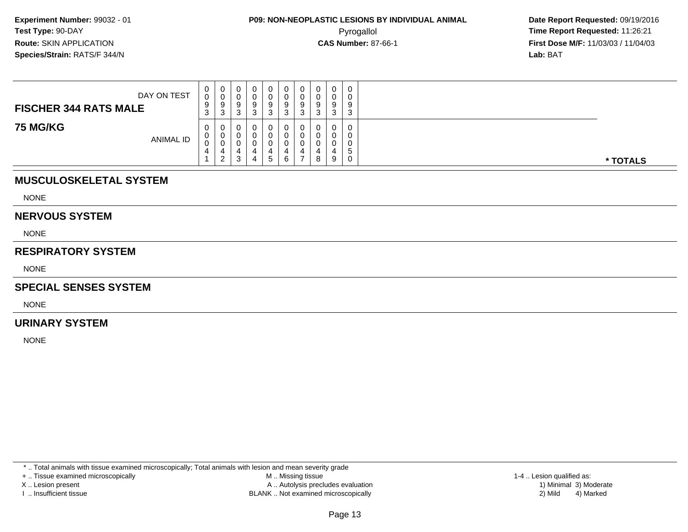**Date Report Requested:** 09/19/2016 **First Dose M/F:** 11/03/03 / 11/04/03<br>**Lab:** BAT **Lab:** BAT

| DAY ON TEST<br><b>FISCHER 344 RATS MALE</b> | 0<br>0<br>9<br>3 | ◡<br>a<br>v<br>0<br>ັບ |  | 0<br>U<br>9<br>3 | 0<br>0<br>9<br>- ఎ | 0<br>a<br>÷<br>-3  | 0<br>0<br>9<br>ີ<br>◡            | $\Omega$<br>ັ | 9<br>$\sim$<br>د |          |  |
|---------------------------------------------|------------------|------------------------|--|------------------|--------------------|--------------------|----------------------------------|---------------|------------------|----------|--|
| <b>75 MG/KG</b><br><b>ANIMAL ID</b>         | 0<br>0<br>0<br>4 | J<br>$\sqrt{2}$        |  | U<br>$5^{\circ}$ | 0<br>0<br>4<br>6   | <b>U</b><br>4<br>- | $\mathbf{0}$<br>0<br>0<br>4<br>8 | 9             | 5                | * TOTALS |  |

## **MUSCULOSKELETAL SYSTEM**

NONE

#### **NERVOUS SYSTEM**

NONE

#### **RESPIRATORY SYSTEM**

NONE

#### **SPECIAL SENSES SYSTEM**

NONE

#### **URINARY SYSTEM**

NONE

\* .. Total animals with tissue examined microscopically; Total animals with lesion and mean severity grade

+ .. Tissue examined microscopically

X .. Lesion present

I .. Insufficient tissue

 M .. Missing tissueA .. Autolysis precludes evaluation

BLANK .. Not examined microscopically 2) Mild 4) Marked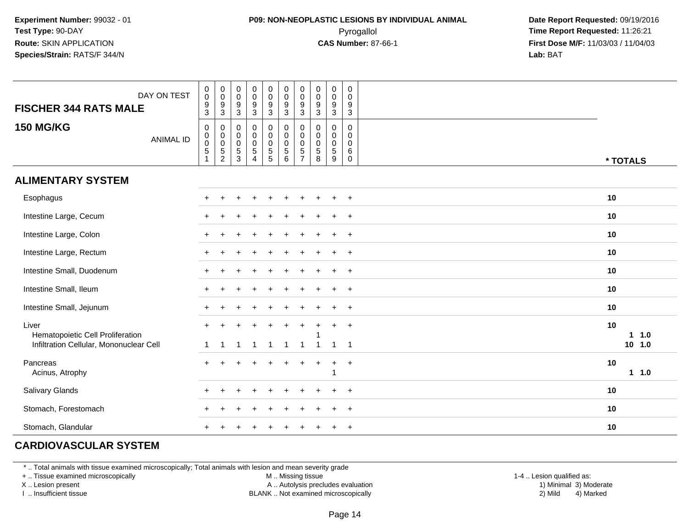## **P09: NON-NEOPLASTIC LESIONS BY INDIVIDUAL ANIMAL**Pyrogallol **Time Report Requested:** 11:26:21

 **Date Report Requested:** 09/19/2016 **First Dose M/F:** 11/03/03 / 11/04/03<br>**Lab:** BAT **Lab:** BAT

| DAY ON TEST<br><b>FISCHER 344 RATS MALE</b> | $\begin{smallmatrix} 0\\0 \end{smallmatrix}$<br>$\pmb{0}$<br>$\mathbf 0$<br>$\boldsymbol{9}$<br>9<br>$\mathbf{3}$<br>3              | $\begin{smallmatrix}0\0\0\end{smallmatrix}$<br>$\boldsymbol{9}$<br>$\overline{3}$ | $\begin{smallmatrix}0\0\0\end{smallmatrix}$<br>$9\,$<br>3 | $\begin{smallmatrix} 0\\0 \end{smallmatrix}$<br>$\overline{9}$<br>$\mathbf{3}$ | $\pmb{0}$<br>$\mathsf 0$<br>$\boldsymbol{9}$<br>$\mathfrak{Z}$ | $\mathsf 0$<br>$\mathbf 0$<br>$\frac{9}{3}$                     | $\pmb{0}$<br>$\mathsf 0$<br>9<br>$\mathbf{3}$      | $\pmb{0}$<br>$\mathbf 0$<br>$\boldsymbol{9}$<br>3   | $\boldsymbol{0}$<br>$\mathbf 0$<br>9<br>$\mathbf{3}$        |            |
|---------------------------------------------|-------------------------------------------------------------------------------------------------------------------------------------|-----------------------------------------------------------------------------------|-----------------------------------------------------------|--------------------------------------------------------------------------------|----------------------------------------------------------------|-----------------------------------------------------------------|----------------------------------------------------|-----------------------------------------------------|-------------------------------------------------------------|------------|
| <b>150 MG/KG</b><br><b>ANIMAL ID</b>        | $\pmb{0}$<br>0<br>$_{\rm 0}^{\rm 0}$<br>$\mathbf 0$<br>$\pmb{0}$<br>$\overline{5}$<br>$\mathbf 5$<br>$\mathbf{1}$<br>$\overline{c}$ | $\pmb{0}$<br>$\mathbf 0$<br>$\ddot{\mathbf{0}}$<br>$\,$ 5 $\,$<br>$\mathbf{3}$    | 0<br>$\mathbf 0$<br>$\mathbf 0$<br>5<br>$\overline{4}$    | $\begin{smallmatrix}0\0\0\0\end{smallmatrix}$<br>$\frac{5}{5}$                 | 0<br>$\pmb{0}$<br>$\boldsymbol{0}$<br>$\,$ 5 $\,$<br>$\,6\,$   | 0<br>$\mathbf 0$<br>$\mathbf 0$<br>$\sqrt{5}$<br>$\overline{7}$ | 0<br>$\mathbf 0$<br>$\mathbf 0$<br>$\sqrt{5}$<br>8 | 0<br>$\mathbf 0$<br>$\mathbf 0$<br>$\,$ 5 $\,$<br>9 | $\pmb{0}$<br>$\mathbf 0$<br>$\mathbf 0$<br>6<br>$\mathbf 0$ | * TOTALS   |
| <b>ALIMENTARY SYSTEM</b>                    |                                                                                                                                     |                                                                                   |                                                           |                                                                                |                                                                |                                                                 |                                                    |                                                     |                                                             |            |
| Esophagus                                   |                                                                                                                                     |                                                                                   |                                                           |                                                                                |                                                                |                                                                 |                                                    | $\ddot{}$                                           | $+$                                                         | 10         |
| Intestine Large, Cecum                      |                                                                                                                                     |                                                                                   |                                                           |                                                                                |                                                                |                                                                 |                                                    | $\ddot{}$                                           | $\overline{+}$                                              | 10         |
| Intestine Large, Colon                      |                                                                                                                                     |                                                                                   |                                                           |                                                                                |                                                                |                                                                 |                                                    |                                                     | $\overline{+}$                                              | 10         |
| Intestine Large, Rectum                     |                                                                                                                                     |                                                                                   |                                                           |                                                                                |                                                                |                                                                 |                                                    |                                                     | $+$                                                         | 10         |
| Intestine Small, Duodenum                   |                                                                                                                                     |                                                                                   |                                                           |                                                                                |                                                                |                                                                 |                                                    |                                                     | $\overline{+}$                                              | 10         |
| Intestine Small, Ileum                      |                                                                                                                                     |                                                                                   |                                                           |                                                                                |                                                                |                                                                 |                                                    | $\ddot{}$                                           | $+$                                                         | 10         |
| Intestine Small, Jejunum                    |                                                                                                                                     |                                                                                   |                                                           |                                                                                |                                                                |                                                                 |                                                    |                                                     | $\overline{+}$                                              | 10         |
| Liver<br>Hematopoietic Cell Proliferation   |                                                                                                                                     |                                                                                   |                                                           |                                                                                | $\ddot{}$                                                      |                                                                 |                                                    | $\ddot{}$                                           | $\overline{+}$                                              | 10<br>11.0 |
| Infiltration Cellular, Mononuclear Cell     | $\mathbf{1}$<br>-1                                                                                                                  | -1                                                                                | -1                                                        | $\mathbf{1}$                                                                   | $\overline{1}$                                                 | $\overline{1}$                                                  | $\overline{1}$                                     | $\mathbf{1}$                                        | $\overline{1}$                                              | $10$ 1.0   |
| Pancreas<br>Acinus, Atrophy                 |                                                                                                                                     |                                                                                   |                                                           |                                                                                |                                                                |                                                                 | +                                                  | $\ddot{}$                                           | $+$                                                         | 10<br>11.0 |
| Salivary Glands                             |                                                                                                                                     |                                                                                   |                                                           |                                                                                |                                                                |                                                                 |                                                    |                                                     |                                                             | 10         |
| Stomach, Forestomach                        |                                                                                                                                     |                                                                                   |                                                           |                                                                                |                                                                |                                                                 |                                                    |                                                     |                                                             | 10         |
| Stomach, Glandular                          |                                                                                                                                     |                                                                                   |                                                           |                                                                                |                                                                |                                                                 |                                                    |                                                     | $\overline{+}$                                              | 10         |

## **CARDIOVASCULAR SYSTEM**

\* .. Total animals with tissue examined microscopically; Total animals with lesion and mean severity grade

+ .. Tissue examined microscopically

X .. Lesion present

I .. Insufficient tissue

M .. Missing tissue

A .. Autolysis precludes evaluation

BLANK .. Not examined microscopically 2) Mild 4) Marked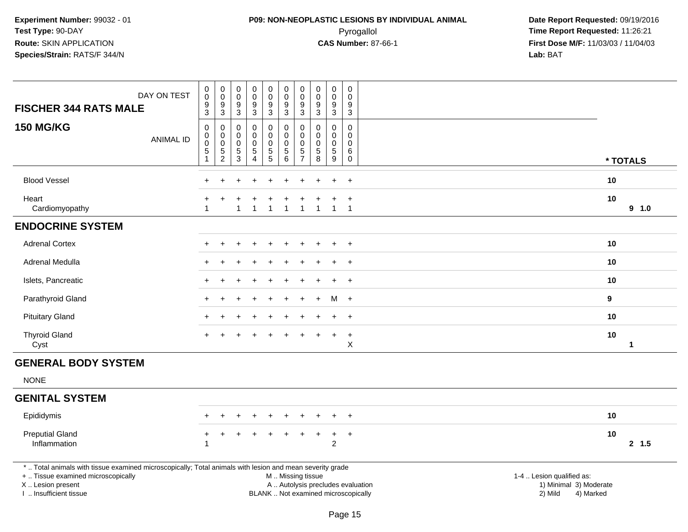## **P09: NON-NEOPLASTIC LESIONS BY INDIVIDUAL ANIMAL**Pyrogallol **Time Report Requested:** 11:26:21

 **Date Report Requested:** 09/19/2016 **First Dose M/F:** 11/03/03 / 11/04/03<br>**Lab:** BAT **Lab:** BAT

| DAY ON TEST<br><b>FISCHER 344 RATS MALE</b>                                                                                                                                                   | $\pmb{0}$<br>$\pmb{0}$<br>$\frac{9}{3}$                                          | $\mathbf 0$<br>$\overline{0}$<br>$^9_3$                            | 0<br>$\pmb{0}$<br>9<br>$\mathbf{3}$          | $\pmb{0}$<br>$\mathbf 0$<br>9<br>$\sqrt{3}$                     | $\pmb{0}$<br>$\overline{0}$<br>$\frac{9}{3}$ | $\mathbf 0$<br>$\pmb{0}$<br>9<br>$\mathbf{3}$              | $\boldsymbol{0}$<br>$\pmb{0}$<br>$9$<br>$\overline{3}$        | $\pmb{0}$<br>$\pmb{0}$<br>9<br>$\ensuremath{\mathsf{3}}$            | 0<br>$\mathbf 0$<br>9<br>$\mathbf{3}$             | $\mathbf 0$<br>$\Omega$<br>9<br>$\mathbf{3}$ |                                                                                                                  |                      |         |
|-----------------------------------------------------------------------------------------------------------------------------------------------------------------------------------------------|----------------------------------------------------------------------------------|--------------------------------------------------------------------|----------------------------------------------|-----------------------------------------------------------------|----------------------------------------------|------------------------------------------------------------|---------------------------------------------------------------|---------------------------------------------------------------------|---------------------------------------------------|----------------------------------------------|------------------------------------------------------------------------------------------------------------------|----------------------|---------|
| <b>150 MG/KG</b><br><b>ANIMAL ID</b>                                                                                                                                                          | $\mathsf 0$<br>$\pmb{0}$<br>$\ddot{\mathbf{0}}$<br>$\,$ 5 $\,$<br>$\overline{1}$ | $\boldsymbol{0}$<br>$\mathbf 0$<br>$\overline{0}$<br>$\frac{5}{2}$ | 0<br>0<br>0<br>$\,$ 5 $\,$<br>$\mathfrak{S}$ | 0<br>$\mathbf 0$<br>$\mathbf 0$<br>$\sqrt{5}$<br>$\overline{4}$ | $\pmb{0}$<br>0<br>$\pmb{0}$<br>$\frac{5}{5}$ | 0<br>$\mathbf 0$<br>$\mathsf{O}\xspace$<br>$\sqrt{5}$<br>6 | $\boldsymbol{0}$<br>$\mathbf 0$<br>$\pmb{0}$<br>$\frac{5}{7}$ | $\mathbf 0$<br>$\mathbf 0$<br>$\mathbf 0$<br>$\,$ 5 $\,$<br>$\,8\,$ | $\pmb{0}$<br>$\mathbf 0$<br>$\mathbf 0$<br>5<br>9 | 0<br>$\mathbf 0$<br>$\mathbf 0$<br>6<br>0    |                                                                                                                  | * TOTALS             |         |
| <b>Blood Vessel</b>                                                                                                                                                                           |                                                                                  |                                                                    |                                              |                                                                 |                                              |                                                            |                                                               |                                                                     |                                                   | $\ddot{}$                                    | 10                                                                                                               |                      |         |
| Heart<br>Cardiomyopathy                                                                                                                                                                       | $\overline{1}$                                                                   |                                                                    | $\mathbf{1}$                                 |                                                                 | $\mathbf{1}$                                 | $\mathbf{1}$                                               | $\overline{1}$                                                | $\mathbf{1}$                                                        | 1                                                 | $\ddot{}$<br>$\overline{1}$                  | 10                                                                                                               |                      | 9 1.0   |
| <b>ENDOCRINE SYSTEM</b>                                                                                                                                                                       |                                                                                  |                                                                    |                                              |                                                                 |                                              |                                                            |                                                               |                                                                     |                                                   |                                              |                                                                                                                  |                      |         |
| <b>Adrenal Cortex</b>                                                                                                                                                                         |                                                                                  |                                                                    |                                              |                                                                 |                                              |                                                            |                                                               |                                                                     |                                                   | $\pm$                                        | 10                                                                                                               |                      |         |
| Adrenal Medulla                                                                                                                                                                               |                                                                                  |                                                                    |                                              |                                                                 |                                              |                                                            |                                                               |                                                                     |                                                   | $\ddot{}$                                    | 10                                                                                                               |                      |         |
| Islets, Pancreatic                                                                                                                                                                            |                                                                                  |                                                                    |                                              |                                                                 |                                              |                                                            |                                                               |                                                                     |                                                   | $\overline{+}$                               | 10                                                                                                               |                      |         |
| Parathyroid Gland                                                                                                                                                                             |                                                                                  |                                                                    |                                              |                                                                 |                                              |                                                            |                                                               |                                                                     | м                                                 | $+$                                          | $\boldsymbol{9}$                                                                                                 |                      |         |
| <b>Pituitary Gland</b>                                                                                                                                                                        |                                                                                  |                                                                    |                                              |                                                                 |                                              |                                                            |                                                               |                                                                     |                                                   | $\ddot{}$                                    | 10                                                                                                               |                      |         |
| <b>Thyroid Gland</b><br>Cyst                                                                                                                                                                  |                                                                                  |                                                                    |                                              |                                                                 |                                              |                                                            |                                                               |                                                                     |                                                   | $\ddot{}$<br>X                               | 10                                                                                                               | $\blacktriangleleft$ |         |
| <b>GENERAL BODY SYSTEM</b>                                                                                                                                                                    |                                                                                  |                                                                    |                                              |                                                                 |                                              |                                                            |                                                               |                                                                     |                                                   |                                              |                                                                                                                  |                      |         |
| <b>NONE</b>                                                                                                                                                                                   |                                                                                  |                                                                    |                                              |                                                                 |                                              |                                                            |                                                               |                                                                     |                                                   |                                              |                                                                                                                  |                      |         |
| <b>GENITAL SYSTEM</b>                                                                                                                                                                         |                                                                                  |                                                                    |                                              |                                                                 |                                              |                                                            |                                                               |                                                                     |                                                   |                                              |                                                                                                                  |                      |         |
| Epididymis                                                                                                                                                                                    |                                                                                  |                                                                    |                                              |                                                                 |                                              |                                                            |                                                               |                                                                     |                                                   | $\pm$                                        | 10                                                                                                               |                      |         |
| <b>Preputial Gland</b><br>Inflammation                                                                                                                                                        | +<br>1                                                                           | +                                                                  |                                              |                                                                 |                                              |                                                            |                                                               | +                                                                   | $\ddot{}$<br>$\overline{c}$                       | $+$                                          | 10                                                                                                               |                      | $2$ 1.5 |
| *  Total animals with tissue examined microscopically; Total animals with lesion and mean severity grade<br>+  Tissue examined microscopically<br>X  Lesion present<br>I  Insufficient tissue |                                                                                  |                                                                    |                                              |                                                                 |                                              | M  Missing tissue                                          |                                                               |                                                                     |                                                   | BLANK  Not examined microscopically          | 1-4  Lesion qualified as:<br>A  Autolysis precludes evaluation<br>1) Minimal 3) Moderate<br>2) Mild<br>4) Marked |                      |         |

Page 15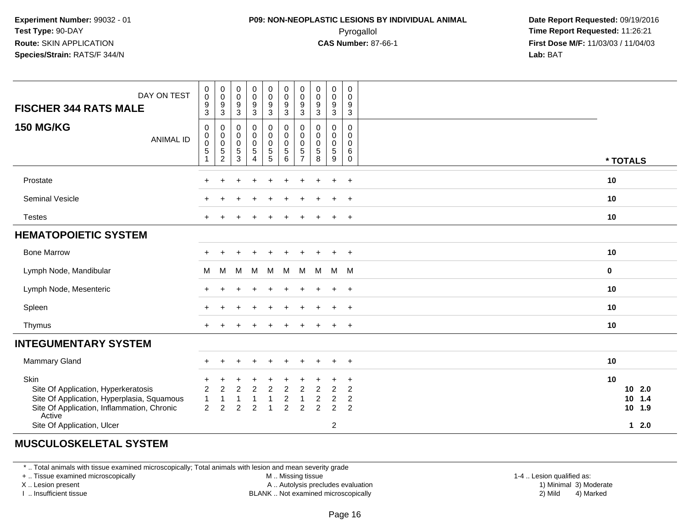## **P09: NON-NEOPLASTIC LESIONS BY INDIVIDUAL ANIMAL**Pyrogallol **Time Report Requested:** 11:26:21

 **Date Report Requested:** 09/19/2016 **First Dose M/F:** 11/03/03 / 11/04/03<br>**Lab:** BAT **Lab:** BAT

| DAY ON TEST<br><b>FISCHER 344 RATS MALE</b>                                                                                                                                     | 0<br>$\mathsf{O}\xspace$<br>$9\,$<br>$\overline{3}$            | 0<br>$\mathbf 0$<br>$9\,$<br>3                                   | $\pmb{0}$<br>$\pmb{0}$<br>$\frac{9}{3}$                                          | $\begin{array}{c} 0 \\ 0 \\ 9 \\ 3 \end{array}$                               | 0<br>$\mathsf 0$<br>$\frac{9}{3}$                                      | $\boldsymbol{0}$<br>$\pmb{0}$<br>$\boldsymbol{9}$<br>$\overline{3}$ | 0<br>$\pmb{0}$<br>9<br>3                     | $\mathbf 0$<br>$\pmb{0}$<br>9<br>$\sqrt{3}$     | $\mathbf 0$<br>$\pmb{0}$<br>$\boldsymbol{9}$<br>$\overline{3}$         | 0<br>$\mathbf 0$<br>9<br>$\overline{3}$            |                                              |
|---------------------------------------------------------------------------------------------------------------------------------------------------------------------------------|----------------------------------------------------------------|------------------------------------------------------------------|----------------------------------------------------------------------------------|-------------------------------------------------------------------------------|------------------------------------------------------------------------|---------------------------------------------------------------------|----------------------------------------------|-------------------------------------------------|------------------------------------------------------------------------|----------------------------------------------------|----------------------------------------------|
| <b>150 MG/KG</b><br><b>ANIMAL ID</b>                                                                                                                                            | $\mathbf 0$<br>$\mathbf 0$<br>$\pmb{0}$<br>$\overline{5}$<br>1 | 0<br>$\mathbf 0$<br>$\mathbf 0$<br>$\mathbf 5$<br>$\overline{2}$ | $\mathbf 0$<br>$\pmb{0}$<br>$\mathsf{O}\xspace$<br>$\mathbf 5$<br>$\overline{3}$ | $\pmb{0}$<br>$\pmb{0}$<br>$\mathsf{O}\xspace$<br>$\sqrt{5}$<br>$\overline{4}$ | 0<br>0<br>$\mathsf{O}\xspace$<br>$\begin{array}{c} 5 \\ 5 \end{array}$ | $\mathbf 0$<br>$\mathbf 0$<br>$\mathbf 0$<br>$\sqrt{5}$<br>6        | 0<br>0<br>$\mathbf 0$<br>5<br>$\overline{7}$ | 0<br>$\pmb{0}$<br>$\mathsf{O}\xspace$<br>5<br>8 | 0<br>$\mathbf 0$<br>$\mathsf{O}\xspace$<br>5<br>9                      | 0<br>0<br>0<br>6<br>0                              | * TOTALS                                     |
| Prostate                                                                                                                                                                        |                                                                |                                                                  |                                                                                  |                                                                               |                                                                        |                                                                     |                                              |                                                 | $\ddot{}$                                                              | $\overline{+}$                                     | 10                                           |
| Seminal Vesicle                                                                                                                                                                 |                                                                |                                                                  |                                                                                  |                                                                               |                                                                        |                                                                     |                                              |                                                 | $\ddot{}$                                                              | $\overline{+}$                                     | 10                                           |
| <b>Testes</b>                                                                                                                                                                   |                                                                |                                                                  |                                                                                  |                                                                               |                                                                        |                                                                     |                                              |                                                 | $\ddot{}$                                                              | $\overline{+}$                                     | 10                                           |
| <b>HEMATOPOIETIC SYSTEM</b>                                                                                                                                                     |                                                                |                                                                  |                                                                                  |                                                                               |                                                                        |                                                                     |                                              |                                                 |                                                                        |                                                    |                                              |
| <b>Bone Marrow</b>                                                                                                                                                              |                                                                |                                                                  |                                                                                  | $\ddot{}$                                                                     | $\ddot{}$                                                              | $\pm$                                                               | $\pm$                                        |                                                 | $\overline{+}$                                                         | $+$                                                | 10                                           |
| Lymph Node, Mandibular                                                                                                                                                          | м                                                              | M                                                                | M                                                                                | M                                                                             | M                                                                      | М                                                                   | M                                            | M                                               | M M                                                                    |                                                    | $\mathbf 0$                                  |
| Lymph Node, Mesenteric                                                                                                                                                          |                                                                |                                                                  |                                                                                  |                                                                               |                                                                        |                                                                     |                                              |                                                 | $+$                                                                    | $+$                                                | 10                                           |
| Spleen                                                                                                                                                                          |                                                                |                                                                  |                                                                                  |                                                                               |                                                                        |                                                                     |                                              |                                                 | $+$                                                                    | $+$                                                | 10                                           |
| Thymus                                                                                                                                                                          |                                                                |                                                                  |                                                                                  |                                                                               |                                                                        |                                                                     |                                              |                                                 |                                                                        | $+$                                                | 10                                           |
| <b>INTEGUMENTARY SYSTEM</b>                                                                                                                                                     |                                                                |                                                                  |                                                                                  |                                                                               |                                                                        |                                                                     |                                              |                                                 |                                                                        |                                                    |                                              |
| Mammary Gland                                                                                                                                                                   | $\div$                                                         |                                                                  |                                                                                  | $\ddot{}$                                                                     | ÷                                                                      |                                                                     |                                              |                                                 | $\ddot{}$                                                              | $+$                                                | 10                                           |
| Skin<br>Site Of Application, Hyperkeratosis<br>Site Of Application, Hyperplasia, Squamous<br>Site Of Application, Inflammation, Chronic<br>Active<br>Site Of Application, Ulcer | 2<br>$\overline{1}$<br>2                                       | $\overline{2}$<br>$\overline{c}$                                 | 2<br>$\overline{2}$                                                              | $\overline{2}$<br>$\overline{2}$                                              | $\overline{2}$                                                         | 2<br>$\overline{c}$<br>$\overline{c}$                               | 2<br>1<br>2                                  | $\overline{c}$<br>$\mathfrak{p}$                | $\overline{2}$<br>$\boldsymbol{2}$<br>$\overline{2}$<br>$\overline{c}$ | $\ddot{}$<br>$\overline{2}$<br>$\overline{c}$<br>2 | 10<br>102.0<br>10<br>1.4<br>10 1.9<br>$12.0$ |

### **MUSCULOSKELETAL SYSTEM**

\* .. Total animals with tissue examined microscopically; Total animals with lesion and mean severity grade

+ .. Tissue examined microscopically

X .. Lesion present

I .. Insufficient tissue

M .. Missing tissue

A .. Autolysis precludes evaluation

1-4 .. Lesion qualified as:<br>1) Minimal 3) Moderate BLANK .. Not examined microscopically 2) Mild 4) Marked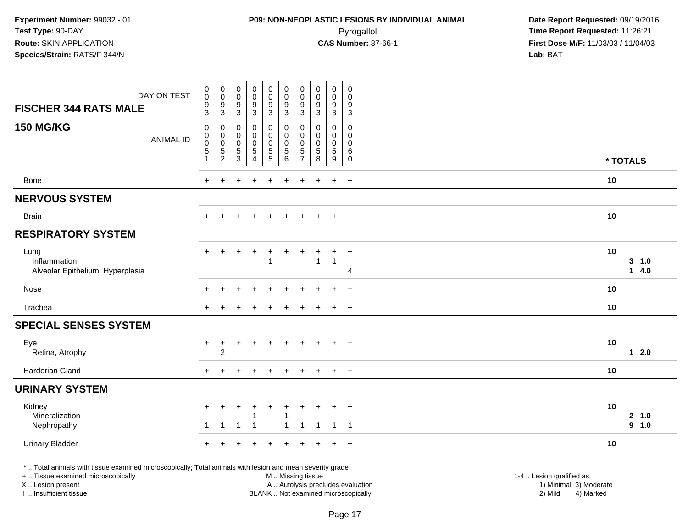## **P09: NON-NEOPLASTIC LESIONS BY INDIVIDUAL ANIMAL**Pyrogallol **Time Report Requested:** 11:26:21

 **Date Report Requested:** 09/19/2016 **First Dose M/F:** 11/03/03 / 11/04/03<br>**Lab:** BAT **Lab:** BAT

| DAY ON TEST<br><b>FISCHER 344 RATS MALE</b>                                                                                                                                                   | $_{\rm 0}^{\rm 0}$<br>$\boldsymbol{9}$<br>$\mathbf{3}$              | $\begin{smallmatrix}0\\0\end{smallmatrix}$<br>$\boldsymbol{9}$<br>$\sqrt{3}$ | $\begin{smallmatrix} 0\\0 \end{smallmatrix}$<br>$\overline{9}$<br>$\ensuremath{\mathsf{3}}$ | $\begin{smallmatrix}0\0\0\9\end{smallmatrix}$<br>$\overline{3}$ | $\begin{smallmatrix}0\0\0\9\end{smallmatrix}$<br>3 | $_{\rm 0}^{\rm 0}$<br>$\boldsymbol{9}$<br>$\overline{3}$ | $\pmb{0}$<br>$\mathbf 0$<br>9<br>$\mathbf{3}$  | $\pmb{0}$<br>$\pmb{0}$<br>9<br>3                  | $\pmb{0}$<br>$\pmb{0}$<br>$\overline{9}$<br>$\mathbf{3}$          | $\pmb{0}$<br>$\mathsf{O}\xspace$<br>9<br>$\mathbf{3}$     |                                                                                                                  |  |
|-----------------------------------------------------------------------------------------------------------------------------------------------------------------------------------------------|---------------------------------------------------------------------|------------------------------------------------------------------------------|---------------------------------------------------------------------------------------------|-----------------------------------------------------------------|----------------------------------------------------|----------------------------------------------------------|------------------------------------------------|---------------------------------------------------|-------------------------------------------------------------------|-----------------------------------------------------------|------------------------------------------------------------------------------------------------------------------|--|
| <b>150 MG/KG</b><br><b>ANIMAL ID</b>                                                                                                                                                          | $\mathbf 0$<br>$\pmb{0}$<br>$\pmb{0}$<br>$\sqrt{5}$<br>$\mathbf{1}$ | $\pmb{0}$<br>$\begin{smallmatrix} 0\\0 \end{smallmatrix}$<br>$\frac{5}{2}$   | 0<br>$\pmb{0}$<br>0<br>$\frac{5}{3}$                                                        | 0<br>0<br>0<br>5<br>$\overline{4}$                              | 0<br>$\mathbf 0$<br>$\mathbf 0$<br>$\overline{5}$  | 0<br>$\pmb{0}$<br>$\pmb{0}$<br>$\overline{5}$ 6          | 0<br>$\pmb{0}$<br>$\mathbf 0$<br>$\frac{5}{7}$ | 0<br>$\pmb{0}$<br>$\mathbf 0$<br>$\mathbf 5$<br>8 | $\mathbf 0$<br>$\mathsf{O}$<br>$\mathbf 0$<br>$\overline{5}$<br>9 | $\mathbf 0$<br>$\mathbf 0$<br>0<br>$\,6\,$<br>$\mathbf 0$ | * TOTALS                                                                                                         |  |
| <b>Bone</b>                                                                                                                                                                                   | $+$                                                                 | $\ddot{}$                                                                    |                                                                                             |                                                                 | ÷                                                  |                                                          | $\ddot{}$                                      |                                                   | $\ddot{}$                                                         | $+$                                                       | 10                                                                                                               |  |
| <b>NERVOUS SYSTEM</b>                                                                                                                                                                         |                                                                     |                                                                              |                                                                                             |                                                                 |                                                    |                                                          |                                                |                                                   |                                                                   |                                                           |                                                                                                                  |  |
| <b>Brain</b>                                                                                                                                                                                  | $+$                                                                 |                                                                              |                                                                                             |                                                                 |                                                    |                                                          |                                                |                                                   | $\ddot{}$                                                         | $\overline{+}$                                            | 10                                                                                                               |  |
| <b>RESPIRATORY SYSTEM</b>                                                                                                                                                                     |                                                                     |                                                                              |                                                                                             |                                                                 |                                                    |                                                          |                                                |                                                   |                                                                   |                                                           |                                                                                                                  |  |
| Lung<br>Inflammation<br>Alveolar Epithelium, Hyperplasia                                                                                                                                      | $+$                                                                 | $\ddot{}$                                                                    |                                                                                             | $\ddot{}$                                                       | $\ddot{}$<br>-1                                    |                                                          |                                                | $\mathbf{1}$                                      | $\ddot{}$<br>$\mathbf{1}$                                         | $\ddot{}$<br>$\overline{4}$                               | 10<br>3, 1.0<br>14.0                                                                                             |  |
| Nose                                                                                                                                                                                          |                                                                     |                                                                              |                                                                                             |                                                                 |                                                    |                                                          |                                                |                                                   |                                                                   | $\ddot{}$                                                 | 10                                                                                                               |  |
| Trachea                                                                                                                                                                                       |                                                                     |                                                                              |                                                                                             |                                                                 |                                                    |                                                          |                                                |                                                   | $\ddot{}$                                                         | $+$                                                       | 10                                                                                                               |  |
| <b>SPECIAL SENSES SYSTEM</b>                                                                                                                                                                  |                                                                     |                                                                              |                                                                                             |                                                                 |                                                    |                                                          |                                                |                                                   |                                                                   |                                                           |                                                                                                                  |  |
| Eye<br>Retina, Atrophy                                                                                                                                                                        | $+$                                                                 | $\ddot{}$<br>$\overline{2}$                                                  | $\div$                                                                                      | $\ddot{}$                                                       | $\ddot{}$                                          |                                                          |                                                |                                                   | $\ddot{}$                                                         | $+$                                                       | 10<br>$12.0$                                                                                                     |  |
| Harderian Gland                                                                                                                                                                               | $+$                                                                 |                                                                              |                                                                                             |                                                                 |                                                    |                                                          |                                                |                                                   | $\ddot{}$                                                         | $\overline{+}$                                            | 10                                                                                                               |  |
| <b>URINARY SYSTEM</b>                                                                                                                                                                         |                                                                     |                                                                              |                                                                                             |                                                                 |                                                    |                                                          |                                                |                                                   |                                                                   |                                                           |                                                                                                                  |  |
| Kidney<br>Mineralization<br>Nephropathy                                                                                                                                                       | -1                                                                  | $\mathbf 1$                                                                  | $\mathbf 1$                                                                                 | -1                                                              | +                                                  | 1<br>1                                                   | $\mathbf{1}$                                   | $\overline{1}$                                    | $\overline{1}$                                                    | $\ddot{}$<br>$\overline{\phantom{0}}$ 1                   | 10<br>2 1.0<br>9 1.0                                                                                             |  |
| <b>Urinary Bladder</b>                                                                                                                                                                        |                                                                     |                                                                              |                                                                                             |                                                                 |                                                    |                                                          |                                                |                                                   | $\div$                                                            | $+$                                                       | 10                                                                                                               |  |
| *  Total animals with tissue examined microscopically; Total animals with lesion and mean severity grade<br>+  Tissue examined microscopically<br>X  Lesion present<br>I  Insufficient tissue |                                                                     |                                                                              |                                                                                             |                                                                 |                                                    | M  Missing tissue                                        |                                                | BLANK  Not examined microscopically               |                                                                   |                                                           | 1-4  Lesion qualified as:<br>A  Autolysis precludes evaluation<br>1) Minimal 3) Moderate<br>2) Mild<br>4) Marked |  |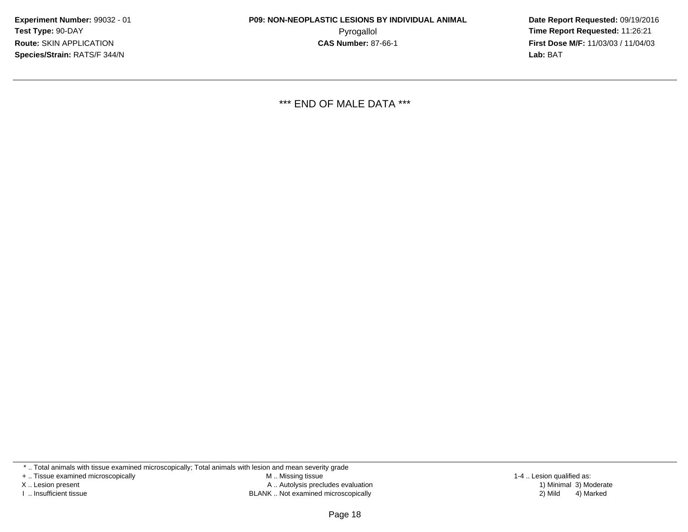**Date Report Requested:** 09/19/2016 **First Dose M/F:** 11/03/03 / 11/04/03<br>**Lab:** BAT **Lab:** BAT

\*\*\* END OF MALE DATA \*\*\*

\* .. Total animals with tissue examined microscopically; Total animals with lesion and mean severity grade

+ .. Tissue examined microscopically

X .. Lesion present

I .. Insufficient tissue

 M .. Missing tissueA .. Autolysis precludes evaluation

BLANK .. Not examined microscopically 2) Mild 4) Marked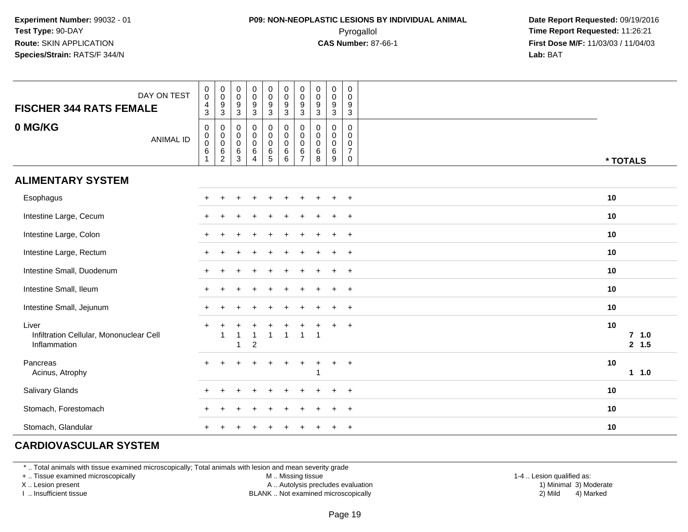## **P09: NON-NEOPLASTIC LESIONS BY INDIVIDUAL ANIMAL**Pyrogallol **Time Report Requested:** 11:26:21

 **Date Report Requested:** 09/19/2016 **First Dose M/F:** 11/03/03 / 11/04/03<br>**Lab:** BAT **Lab:** BAT

| DAY ON TEST<br><b>FISCHER 344 RATS FEMALE</b>                    | $\begin{smallmatrix}0\\0\end{smallmatrix}$<br>$\overline{4}$<br>3         | $\begin{matrix} 0 \\ 0 \\ 9 \\ 3 \end{matrix}$ | $\,0\,$<br>$\mathbf 0$<br>$9\,$<br>$\ensuremath{\mathsf{3}}$ | $\pmb{0}$<br>$\mathsf{O}\xspace$<br>9<br>$\overline{3}$    | $\begin{smallmatrix}0\0\0\end{smallmatrix}$<br>$\frac{9}{3}$                     | $_{\rm 0}^{\rm 0}$<br>$\frac{9}{3}$                                                  | $\stackrel{0}{\scriptstyle{0}}$<br>$\frac{9}{3}$                   | $\pmb{0}$<br>$\mathbf 0$<br>9<br>$\mathfrak{Z}$ | $\pmb{0}$<br>$\mathbf 0$<br>$9\,$<br>$\mathbf{3}$       | $\,0\,$<br>$\mathbf 0$<br>9<br>$\ensuremath{\mathsf{3}}$         |                         |  |
|------------------------------------------------------------------|---------------------------------------------------------------------------|------------------------------------------------|--------------------------------------------------------------|------------------------------------------------------------|----------------------------------------------------------------------------------|--------------------------------------------------------------------------------------|--------------------------------------------------------------------|-------------------------------------------------|---------------------------------------------------------|------------------------------------------------------------------|-------------------------|--|
| 0 MG/KG<br><b>ANIMAL ID</b>                                      | $\mathbf 0$<br>$\mathbf 0$<br>$\boldsymbol{0}$<br>$\,6\,$<br>$\mathbf{1}$ | $\pmb{0}$                                      | 0<br>$\mathbf 0$<br>$\pmb{0}$<br>$\,6\,$<br>$\mathbf{3}$     | 0<br>$\pmb{0}$<br>$\mathbf 0$<br>$\,6\,$<br>$\overline{4}$ | $\mathbf 0$<br>$\mathsf{O}\xspace$<br>$\mathsf{O}\xspace$<br>$\overline{6}$<br>5 | $\begin{smallmatrix} 0\\0 \end{smallmatrix}$<br>$\mathbf 0$<br>$\overline{6}$<br>$6$ | $\pmb{0}$<br>$\mathbf 0$<br>$\pmb{0}$<br>$\,6\,$<br>$\overline{7}$ | 0<br>$\mathbf 0$<br>$\mathbf 0$<br>6<br>8       | $\pmb{0}$<br>$\mathbf 0$<br>$\mathbf 0$<br>$\,6\,$<br>9 | 0<br>$\mathbf 0$<br>$\mathbf 0$<br>$\overline{7}$<br>$\mathbf 0$ | * TOTALS                |  |
| <b>ALIMENTARY SYSTEM</b>                                         |                                                                           |                                                |                                                              |                                                            |                                                                                  |                                                                                      |                                                                    |                                                 |                                                         |                                                                  |                         |  |
| Esophagus                                                        |                                                                           |                                                |                                                              |                                                            |                                                                                  |                                                                                      |                                                                    |                                                 |                                                         | $+$                                                              | 10                      |  |
| Intestine Large, Cecum                                           |                                                                           |                                                |                                                              |                                                            |                                                                                  |                                                                                      |                                                                    |                                                 |                                                         | $+$                                                              | 10                      |  |
| Intestine Large, Colon                                           |                                                                           |                                                |                                                              |                                                            |                                                                                  |                                                                                      |                                                                    |                                                 |                                                         | $+$                                                              | 10                      |  |
| Intestine Large, Rectum                                          |                                                                           |                                                |                                                              |                                                            |                                                                                  |                                                                                      |                                                                    |                                                 |                                                         | $+$                                                              | 10                      |  |
| Intestine Small, Duodenum                                        |                                                                           |                                                |                                                              |                                                            |                                                                                  |                                                                                      |                                                                    |                                                 |                                                         | $+$                                                              | 10                      |  |
| Intestine Small, Ileum                                           | $+$                                                                       |                                                |                                                              |                                                            |                                                                                  |                                                                                      |                                                                    |                                                 |                                                         | $^{+}$                                                           | 10                      |  |
| Intestine Small, Jejunum                                         | $+$                                                                       |                                                |                                                              |                                                            |                                                                                  |                                                                                      |                                                                    |                                                 | $\ddot{}$                                               | $+$                                                              | 10                      |  |
| Liver<br>Infiltration Cellular, Mononuclear Cell<br>Inflammation | $\pm$                                                                     |                                                | 1                                                            | 1<br>$\overline{c}$                                        | $\mathbf{1}$                                                                     | $\overline{1}$                                                                       | $\overline{1}$                                                     | $\overline{1}$                                  | $\pm$                                                   | $+$                                                              | 10<br>$7$ 1.0<br>2, 1.5 |  |
| Pancreas<br>Acinus, Atrophy                                      |                                                                           |                                                |                                                              |                                                            | $\ddot{}$                                                                        | $\ddot{}$                                                                            | $\ddot{}$                                                          | +                                               | $+$                                                     | $^{+}$                                                           | 10<br>11.0              |  |
| Salivary Glands                                                  |                                                                           |                                                |                                                              |                                                            |                                                                                  |                                                                                      |                                                                    |                                                 |                                                         | $\overline{1}$                                                   | 10                      |  |
| Stomach, Forestomach                                             |                                                                           |                                                |                                                              |                                                            |                                                                                  |                                                                                      |                                                                    |                                                 |                                                         | $\overline{1}$                                                   | 10                      |  |
| Stomach, Glandular                                               |                                                                           |                                                |                                                              |                                                            |                                                                                  |                                                                                      |                                                                    |                                                 |                                                         | $\ddot{}$                                                        | 10                      |  |

## **CARDIOVASCULAR SYSTEM**

\* .. Total animals with tissue examined microscopically; Total animals with lesion and mean severity grade

+ .. Tissue examined microscopically

X .. Lesion present

I .. Insufficient tissue

M .. Missing tissue

A .. Autolysis precludes evaluation

BLANK .. Not examined microscopically 2) Mild 4) Marked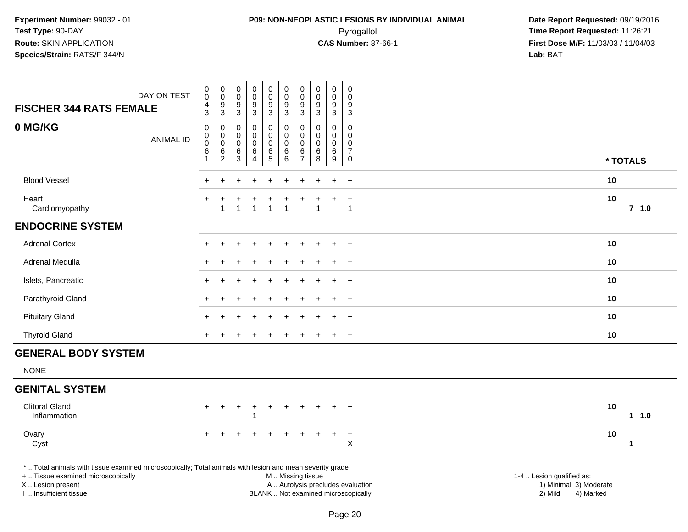## **P09: NON-NEOPLASTIC LESIONS BY INDIVIDUAL ANIMAL**Pyrogallol **Time Report Requested:** 11:26:21

 **Date Report Requested:** 09/19/2016 **First Dose M/F:** 11/03/03 / 11/04/03<br>**Lab:** BAT **Lab:** BAT

| DAY ON TEST<br><b>FISCHER 344 RATS FEMALE</b>                                                                                                                                                 | $\pmb{0}$<br>$\pmb{0}$<br>$\frac{4}{3}$               | $\pmb{0}$<br>$\overline{0}$<br>$\boldsymbol{9}$<br>$\overline{3}$ | 0<br>$\pmb{0}$<br>9<br>3        | $\mathbf 0$<br>$\mathbf 0$<br>9<br>$\sqrt{3}$                 | $\pmb{0}$<br>$\ddot{\mathbf{0}}$<br>$\boldsymbol{9}$<br>3 | $\pmb{0}$<br>$\mathbf 0$<br>$\boldsymbol{9}$<br>$\mathbf{3}$ | $\pmb{0}$<br>$\overline{0}$<br>9<br>$\mathbf{3}$ | $\mathbf 0$<br>$\mathbf 0$<br>9<br>$\mathbf{3}$ | $\boldsymbol{0}$<br>$\mathbf 0$<br>9<br>$\mathbf 3$   | 0<br>$\Omega$<br>9<br>$\mathsf 3$                      |                                                                                                                                                         |  |
|-----------------------------------------------------------------------------------------------------------------------------------------------------------------------------------------------|-------------------------------------------------------|-------------------------------------------------------------------|---------------------------------|---------------------------------------------------------------|-----------------------------------------------------------|--------------------------------------------------------------|--------------------------------------------------|-------------------------------------------------|-------------------------------------------------------|--------------------------------------------------------|---------------------------------------------------------------------------------------------------------------------------------------------------------|--|
| 0 MG/KG<br><b>ANIMAL ID</b>                                                                                                                                                                   | $\pmb{0}$<br>$\mathsf{O}$<br>$\ddot{\mathbf{0}}$<br>6 | $\mathbf 0$<br>$\mathbf 0$<br>$\overline{0}$<br>$^6_2$            | 0<br>0<br>$\mathbf 0$<br>6<br>3 | $\mathbf 0$<br>$\Omega$<br>$\mathbf 0$<br>6<br>$\overline{4}$ | 0<br>0<br>$\pmb{0}$<br>$\,6$<br>$\overline{5}$            | 0<br>0<br>$\pmb{0}$<br>$\,6$<br>$6^{\circ}$                  | 0<br>0<br>$\pmb{0}$<br>$\frac{6}{7}$             | $\mathbf 0$<br>$\Omega$<br>0<br>$\,6$<br>8      | $\mathbf 0$<br>$\mathbf 0$<br>$\mathbf 0$<br>6<br>$9$ | 0<br>$\mathbf 0$<br>$\mathbf 0$<br>$\overline{7}$<br>0 | * TOTALS                                                                                                                                                |  |
| <b>Blood Vessel</b>                                                                                                                                                                           |                                                       |                                                                   |                                 |                                                               |                                                           |                                                              |                                                  |                                                 |                                                       | $+$                                                    | 10                                                                                                                                                      |  |
| Heart<br>Cardiomyopathy                                                                                                                                                                       |                                                       | 1                                                                 | 1                               | 1                                                             | 1                                                         | $\overline{1}$                                               |                                                  | 1                                               |                                                       | $\ddot{}$<br>$\mathbf{1}$                              | 10<br>$7$ 1.0                                                                                                                                           |  |
| <b>ENDOCRINE SYSTEM</b>                                                                                                                                                                       |                                                       |                                                                   |                                 |                                                               |                                                           |                                                              |                                                  |                                                 |                                                       |                                                        |                                                                                                                                                         |  |
| <b>Adrenal Cortex</b>                                                                                                                                                                         |                                                       |                                                                   |                                 |                                                               |                                                           |                                                              |                                                  |                                                 |                                                       | $\ddot{}$                                              | 10                                                                                                                                                      |  |
| Adrenal Medulla                                                                                                                                                                               |                                                       |                                                                   |                                 |                                                               |                                                           |                                                              |                                                  |                                                 |                                                       | $\overline{+}$                                         | 10                                                                                                                                                      |  |
| Islets, Pancreatic                                                                                                                                                                            |                                                       |                                                                   |                                 |                                                               |                                                           |                                                              |                                                  |                                                 |                                                       | $^{+}$                                                 | 10                                                                                                                                                      |  |
| Parathyroid Gland                                                                                                                                                                             |                                                       |                                                                   |                                 |                                                               |                                                           |                                                              |                                                  |                                                 |                                                       | $+$                                                    | 10                                                                                                                                                      |  |
| <b>Pituitary Gland</b>                                                                                                                                                                        |                                                       |                                                                   |                                 |                                                               |                                                           |                                                              |                                                  |                                                 |                                                       | $\overline{+}$                                         | 10                                                                                                                                                      |  |
| <b>Thyroid Gland</b>                                                                                                                                                                          | $+$                                                   |                                                                   |                                 |                                                               |                                                           |                                                              |                                                  |                                                 | $\ddot{}$                                             | $+$                                                    | 10                                                                                                                                                      |  |
| <b>GENERAL BODY SYSTEM</b>                                                                                                                                                                    |                                                       |                                                                   |                                 |                                                               |                                                           |                                                              |                                                  |                                                 |                                                       |                                                        |                                                                                                                                                         |  |
| <b>NONE</b>                                                                                                                                                                                   |                                                       |                                                                   |                                 |                                                               |                                                           |                                                              |                                                  |                                                 |                                                       |                                                        |                                                                                                                                                         |  |
| <b>GENITAL SYSTEM</b>                                                                                                                                                                         |                                                       |                                                                   |                                 |                                                               |                                                           |                                                              |                                                  |                                                 |                                                       |                                                        |                                                                                                                                                         |  |
| <b>Clitoral Gland</b><br>Inflammation                                                                                                                                                         | $\ddot{}$                                             |                                                                   |                                 |                                                               |                                                           |                                                              |                                                  |                                                 |                                                       | $\overline{+}$                                         | 10<br>11.0                                                                                                                                              |  |
| Ovary<br>Cyst                                                                                                                                                                                 |                                                       |                                                                   |                                 |                                                               |                                                           |                                                              | $\div$                                           |                                                 | $\ddot{}$                                             | $+$<br>$\sf X$                                         | 10<br>$\mathbf{1}$                                                                                                                                      |  |
| *  Total animals with tissue examined microscopically; Total animals with lesion and mean severity grade<br>+  Tissue examined microscopically<br>X  Lesion present<br>I. Insufficient tissue |                                                       |                                                                   |                                 |                                                               |                                                           | M  Missing tissue                                            |                                                  |                                                 |                                                       |                                                        | 1-4  Lesion qualified as:<br>A  Autolysis precludes evaluation<br>1) Minimal 3) Moderate<br>BLANK  Not examined microscopically<br>2) Mild<br>4) Marked |  |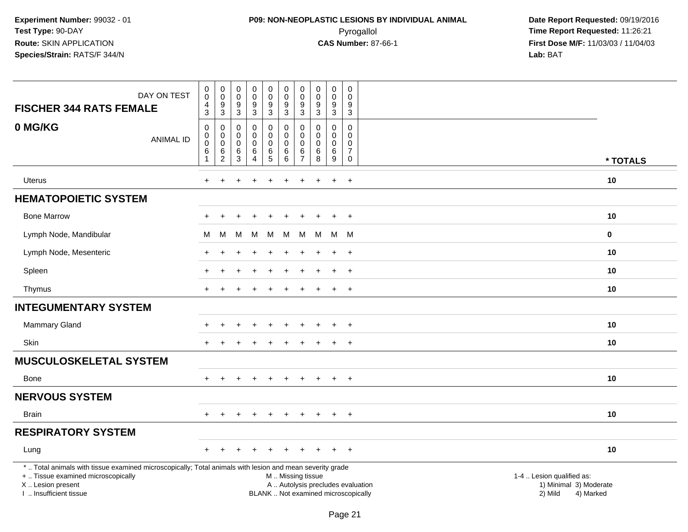## **P09: NON-NEOPLASTIC LESIONS BY INDIVIDUAL ANIMAL**Pyrogallol **Time Report Requested:** 11:26:21

 **Date Report Requested:** 09/19/2016 **First Dose M/F:** 11/03/03 / 11/04/03<br>**Lab:** BAT **Lab:** BAT

| DAY ON TEST<br><b>FISCHER 344 RATS FEMALE</b>                                                                                                                                                 | $\pmb{0}$<br>$\pmb{0}$<br>$\overline{4}$<br>$\mathbf{3}$ | $\overline{0}$<br>$\mathbf 0$<br>$\boldsymbol{9}$<br>$\sqrt{3}$    | $\begin{smallmatrix} 0\\0 \end{smallmatrix}$<br>$\boldsymbol{9}$<br>$\sqrt{3}$ | $_{\rm 0}^{\rm 0}$<br>$\overline{9}$<br>3    | $\pmb{0}$<br>$\pmb{0}$<br>$\overline{9}$<br>3 | $\pmb{0}$<br>$\pmb{0}$<br>$\boldsymbol{9}$<br>3    | $\pmb{0}$<br>$\pmb{0}$<br>9<br>$\mathbf{3}$                    | 0<br>$\mathbf 0$<br>9<br>$\mathbf{3}$       | $\pmb{0}$<br>$\mathbf 0$<br>$\boldsymbol{9}$<br>3 | $\pmb{0}$<br>0<br>9<br>$\mathsf 3$                          |                                                                                                                  |
|-----------------------------------------------------------------------------------------------------------------------------------------------------------------------------------------------|----------------------------------------------------------|--------------------------------------------------------------------|--------------------------------------------------------------------------------|----------------------------------------------|-----------------------------------------------|----------------------------------------------------|----------------------------------------------------------------|---------------------------------------------|---------------------------------------------------|-------------------------------------------------------------|------------------------------------------------------------------------------------------------------------------|
| 0 MG/KG<br><b>ANIMAL ID</b>                                                                                                                                                                   | 0<br>$\mathsf{O}\xspace$<br>$\mathbf 0$<br>$\,6$         | $\mathbf 0$<br>$\mathbf 0$<br>$\ddot{\mathbf{0}}$<br>$\frac{6}{2}$ | $\mathbf 0$<br>$\mathbf 0$<br>$\mathbf 0$<br>6                                 | 0<br>0<br>$\mathbf 0$<br>6<br>$\overline{4}$ | 0<br>$\mathbf 0$<br>0<br>$^6_5$               | $\mathbf 0$<br>$\pmb{0}$<br>$\mathbf 0$<br>$\,6\,$ | $\Omega$<br>$\mathbf 0$<br>$\mathbf{0}$<br>6<br>$\overline{7}$ | $\Omega$<br>$\mathbf 0$<br>$\mathbf 0$<br>6 | $\mathbf 0$<br>$\mathbf 0$<br>0<br>$\,6\,$        | $\mathbf 0$<br>$\mathbf 0$<br>$\mathbf 0$<br>$\overline{7}$ |                                                                                                                  |
|                                                                                                                                                                                               | $\mathbf{1}$                                             |                                                                    | $\mathbf{3}$                                                                   |                                              |                                               | $\,6\,$                                            |                                                                | 8                                           | $\boldsymbol{9}$                                  | $\mathbf 0$                                                 | * TOTALS                                                                                                         |
| <b>Uterus</b>                                                                                                                                                                                 | $+$                                                      | $\div$                                                             |                                                                                | $\div$                                       | $\ddot{}$                                     | $\ddot{}$                                          | $\pm$                                                          | $\ddot{}$                                   | $\ddot{}$                                         | $+$                                                         | 10                                                                                                               |
| <b>HEMATOPOIETIC SYSTEM</b>                                                                                                                                                                   |                                                          |                                                                    |                                                                                |                                              |                                               |                                                    |                                                                |                                             |                                                   |                                                             |                                                                                                                  |
| <b>Bone Marrow</b>                                                                                                                                                                            |                                                          |                                                                    |                                                                                |                                              |                                               |                                                    |                                                                |                                             | $\ddot{}$                                         | $\ddot{}$                                                   | 10                                                                                                               |
| Lymph Node, Mandibular                                                                                                                                                                        | м                                                        | M                                                                  | M                                                                              | м                                            | M                                             | M                                                  | M                                                              | M                                           |                                                   | M M                                                         | $\mathbf 0$                                                                                                      |
| Lymph Node, Mesenteric                                                                                                                                                                        |                                                          |                                                                    |                                                                                |                                              |                                               |                                                    |                                                                |                                             | $\ddot{+}$                                        | $+$                                                         | 10                                                                                                               |
| Spleen                                                                                                                                                                                        |                                                          |                                                                    |                                                                                |                                              |                                               |                                                    |                                                                |                                             |                                                   | $\ddot{}$                                                   | 10                                                                                                               |
| Thymus                                                                                                                                                                                        |                                                          |                                                                    |                                                                                |                                              |                                               |                                                    |                                                                |                                             | $\ddot{}$                                         | $\ddot{}$                                                   | 10                                                                                                               |
| <b>INTEGUMENTARY SYSTEM</b>                                                                                                                                                                   |                                                          |                                                                    |                                                                                |                                              |                                               |                                                    |                                                                |                                             |                                                   |                                                             |                                                                                                                  |
| Mammary Gland                                                                                                                                                                                 |                                                          |                                                                    |                                                                                |                                              |                                               |                                                    |                                                                |                                             | $\div$                                            | $+$                                                         | 10                                                                                                               |
| <b>Skin</b>                                                                                                                                                                                   |                                                          |                                                                    |                                                                                |                                              |                                               |                                                    |                                                                |                                             | $\pm$                                             | $+$                                                         | 10                                                                                                               |
| <b>MUSCULOSKELETAL SYSTEM</b>                                                                                                                                                                 |                                                          |                                                                    |                                                                                |                                              |                                               |                                                    |                                                                |                                             |                                                   |                                                             |                                                                                                                  |
| <b>Bone</b>                                                                                                                                                                                   | $\ddot{}$                                                |                                                                    |                                                                                |                                              | $\ddot{}$                                     |                                                    | +                                                              |                                             | $\ddot{}$                                         | $+$                                                         | 10                                                                                                               |
| <b>NERVOUS SYSTEM</b>                                                                                                                                                                         |                                                          |                                                                    |                                                                                |                                              |                                               |                                                    |                                                                |                                             |                                                   |                                                             |                                                                                                                  |
| <b>Brain</b>                                                                                                                                                                                  | $+$                                                      | $\pm$                                                              |                                                                                | $\ddot{}$                                    | $\ddot{}$                                     | $\ddot{}$                                          | $\ddot{}$                                                      | $\pm$                                       | $+$                                               | $+$                                                         | 10                                                                                                               |
| <b>RESPIRATORY SYSTEM</b>                                                                                                                                                                     |                                                          |                                                                    |                                                                                |                                              |                                               |                                                    |                                                                |                                             |                                                   |                                                             |                                                                                                                  |
| Lung                                                                                                                                                                                          |                                                          |                                                                    |                                                                                |                                              |                                               |                                                    |                                                                |                                             |                                                   | $\ddot{}$                                                   | 10                                                                                                               |
| *  Total animals with tissue examined microscopically; Total animals with lesion and mean severity grade<br>+  Tissue examined microscopically<br>X  Lesion present<br>I. Insufficient tissue |                                                          |                                                                    |                                                                                |                                              |                                               | M  Missing tissue                                  |                                                                | BLANK  Not examined microscopically         |                                                   |                                                             | 1-4  Lesion qualified as:<br>A  Autolysis precludes evaluation<br>1) Minimal 3) Moderate<br>2) Mild<br>4) Marked |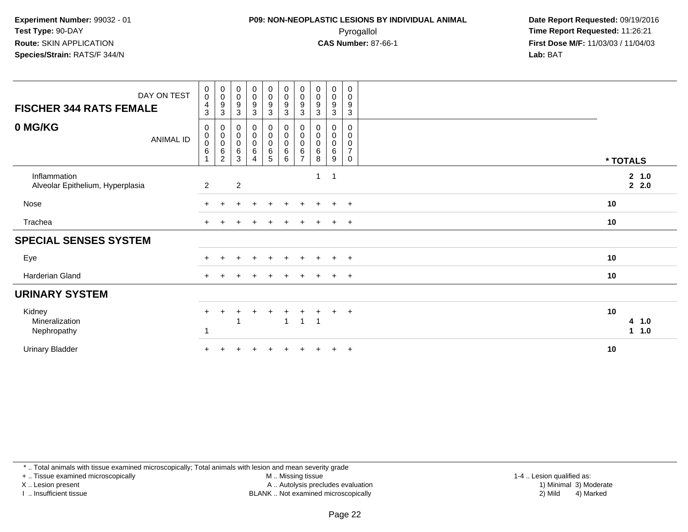## **P09: NON-NEOPLASTIC LESIONS BY INDIVIDUAL ANIMAL**Pyrogallol **Time Report Requested:** 11:26:21

 **Date Report Requested:** 09/19/2016 **First Dose M/F:** 11/03/03 / 11/04/03<br>**Lab:** BAT **Lab:** BAT

| DAY ON TEST<br><b>FISCHER 344 RATS FEMALE</b>    | $\mathbf 0$<br>$\mathbf 0$<br>$\overline{4}$<br>$\mathbf{3}$ | $_{\rm 0}^{\rm 0}$<br>$\boldsymbol{9}$<br>$\overline{3}$ | 0<br>$\pmb{0}$<br>9<br>$\sqrt{3}$ | $\begin{array}{c} 0 \\ 0 \\ 9 \\ 3 \end{array}$              | $\begin{array}{c} 0 \\ 0 \\ 9 \\ 3 \end{array}$  | $\begin{smallmatrix} 0\\0 \end{smallmatrix}$<br>$\boldsymbol{9}$<br>3 | $\begin{smallmatrix}0\0\0\end{smallmatrix}$<br>$\boldsymbol{9}$<br>3 | $_{\rm 0}^{\rm 0}$<br>$\frac{9}{3}$ | $_{\rm 0}^{\rm 0}$<br>$\boldsymbol{9}$<br>$\sqrt{3}$ | 0<br>$\mathsf 0$<br>$\boldsymbol{9}$<br>$\overline{3}$         |                                            |
|--------------------------------------------------|--------------------------------------------------------------|----------------------------------------------------------|-----------------------------------|--------------------------------------------------------------|--------------------------------------------------|-----------------------------------------------------------------------|----------------------------------------------------------------------|-------------------------------------|------------------------------------------------------|----------------------------------------------------------------|--------------------------------------------|
| 0 MG/KG<br>ANIMAL ID                             | $\boldsymbol{0}$<br>$\pmb{0}$<br>$\pmb{0}$<br>$\,6\,$        | 0<br>$_{\rm 0}^{\rm 0}$<br>6<br>2                        | 0<br>0<br>0<br>6<br>3             | $\pmb{0}$<br>$_{\rm 0}^{\rm 0}$<br>$\,6\,$<br>$\overline{4}$ | 0<br>$\pmb{0}$<br>0<br>$\,6\,$<br>$\overline{5}$ | 0<br>$\pmb{0}$<br>$\overline{0}$<br>$\,6\,$<br>6                      | 0<br>$\pmb{0}$<br>$\pmb{0}$<br>$\,6$<br>$\overline{ }$               | $\pmb{0}$<br>$\pmb{0}$<br>6<br>8    | 0<br>$_{\rm 0}^{\rm 0}$<br>$\,6\,$<br>9              | 0<br>$\mathbf 0$<br>$\pmb{0}$<br>$\overline{7}$<br>$\mathbf 0$ | * TOTALS                                   |
| Inflammation<br>Alveolar Epithelium, Hyperplasia | $\overline{2}$                                               |                                                          | $\overline{2}$                    |                                                              |                                                  |                                                                       |                                                                      | $\mathbf{1}$                        | $\overline{\mathbf{1}}$                              |                                                                | 2 1.0<br>22.0                              |
| Nose                                             |                                                              |                                                          |                                   |                                                              |                                                  |                                                                       |                                                                      |                                     | $\pm$                                                | $+$                                                            | 10                                         |
| Trachea                                          |                                                              |                                                          |                                   |                                                              |                                                  |                                                                       |                                                                      |                                     | ÷                                                    | $+$                                                            | 10                                         |
| <b>SPECIAL SENSES SYSTEM</b>                     |                                                              |                                                          |                                   |                                                              |                                                  |                                                                       |                                                                      |                                     |                                                      |                                                                |                                            |
| Eye                                              |                                                              |                                                          | +                                 | $\div$                                                       | $+$                                              | $+$                                                                   | $+$                                                                  | $+$                                 | $+$                                                  | $+$                                                            | 10                                         |
| Harderian Gland                                  |                                                              |                                                          |                                   |                                                              |                                                  |                                                                       |                                                                      |                                     | $\pm$                                                | $+$                                                            | 10                                         |
| <b>URINARY SYSTEM</b>                            |                                                              |                                                          |                                   |                                                              |                                                  |                                                                       |                                                                      |                                     |                                                      |                                                                |                                            |
| Kidney<br>Mineralization<br>Nephropathy          |                                                              |                                                          |                                   |                                                              | ÷                                                | -1                                                                    | $\mathbf{1}$                                                         | $\mathbf{1}$                        | $\pm$                                                | $+$                                                            | 10<br>4 1.0<br>1.0<br>$\blacktriangleleft$ |
| <b>Urinary Bladder</b>                           |                                                              |                                                          |                                   |                                                              |                                                  |                                                                       |                                                                      |                                     | $\pm$                                                | $+$                                                            | 10                                         |

\* .. Total animals with tissue examined microscopically; Total animals with lesion and mean severity grade

+ .. Tissue examined microscopically

X .. Lesion present

I .. Insufficient tissue

M .. Missing tissue

Lesion present A .. Autolysis precludes evaluation 1) Minimal 3) Moderate

BLANK .. Not examined microscopically 2) Mild 4) Marked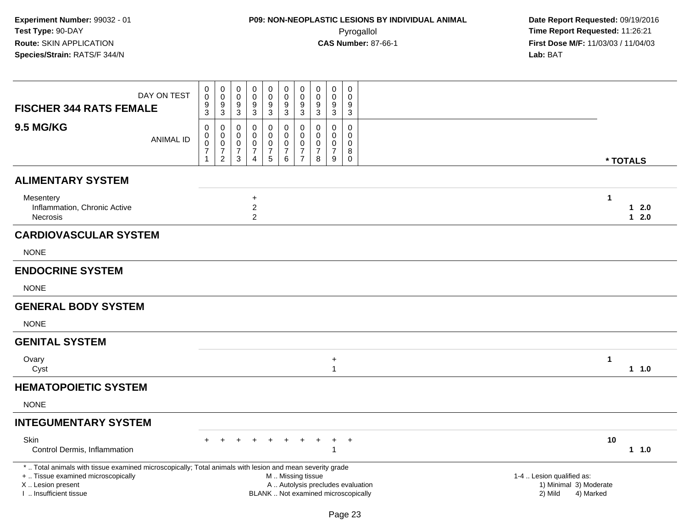| <b>FISCHER 344 RATS FEMALE</b>                                                                                                                 | DAY ON TEST      | 0<br>$\pmb{0}$<br>9<br>3                                                          | $\pmb{0}$<br>$\pmb{0}$<br>9<br>3                                    | 0<br>0<br>9<br>3                   | 0<br>0<br>9<br>$\mathbf{3}$                     | $\mathbf 0$<br>$\mathsf{O}\xspace$<br>$\frac{9}{3}$   | 0<br>$\pmb{0}$<br>9<br>$\sqrt{3}$                    | $\pmb{0}$<br>$\pmb{0}$<br>9<br>$\sqrt{3}$                                       | 0<br>0<br>9<br>$\mathbf{3}$               | 0<br>$\mathsf{O}\xspace$<br>9<br>$\sqrt{3}$                | 0<br>$\mathbf 0$<br>9<br>$\mathbf{3}$                       |                                                                          |                                                |                      |                  |
|------------------------------------------------------------------------------------------------------------------------------------------------|------------------|-----------------------------------------------------------------------------------|---------------------------------------------------------------------|------------------------------------|-------------------------------------------------|-------------------------------------------------------|------------------------------------------------------|---------------------------------------------------------------------------------|-------------------------------------------|------------------------------------------------------------|-------------------------------------------------------------|--------------------------------------------------------------------------|------------------------------------------------|----------------------|------------------|
| <b>9.5 MG/KG</b>                                                                                                                               | <b>ANIMAL ID</b> | $\mathbf 0$<br>$\pmb{0}$<br>$\pmb{0}$<br>$\overline{\mathcal{I}}$<br>$\mathbf{1}$ | 0<br>0<br>$\mathsf{O}\xspace$<br>$\boldsymbol{7}$<br>$\overline{2}$ | 0<br>0<br>0<br>$\overline{7}$<br>3 | 0<br>0<br>0<br>$\overline{7}$<br>$\overline{4}$ | 0<br>0<br>$\pmb{0}$<br>$\boldsymbol{7}$<br>$\sqrt{5}$ | 0<br>$\mathbf 0$<br>0<br>$\boldsymbol{7}$<br>$\,6\,$ | $\mathbf{0}$<br>$\mathbf 0$<br>$\mathbf{0}$<br>$\overline{7}$<br>$\overline{7}$ | $\Omega$<br>0<br>0<br>$\overline{7}$<br>8 | $\mathbf 0$<br>$\mathbf 0$<br>0<br>$\overline{7}$<br>$9\,$ | $\mathbf 0$<br>$\mathbf 0$<br>0<br>8<br>$\mathsf{O}\xspace$ |                                                                          |                                                |                      | * TOTALS         |
| <b>ALIMENTARY SYSTEM</b>                                                                                                                       |                  |                                                                                   |                                                                     |                                    |                                                 |                                                       |                                                      |                                                                                 |                                           |                                                            |                                                             |                                                                          |                                                |                      |                  |
| Mesentery<br>Inflammation, Chronic Active<br>Necrosis                                                                                          |                  |                                                                                   |                                                                     |                                    | $+$<br>$\overline{2}$<br>$\overline{a}$         |                                                       |                                                      |                                                                                 |                                           |                                                            |                                                             |                                                                          |                                                | 1                    | $12.0$<br>$12.0$ |
| <b>CARDIOVASCULAR SYSTEM</b>                                                                                                                   |                  |                                                                                   |                                                                     |                                    |                                                 |                                                       |                                                      |                                                                                 |                                           |                                                            |                                                             |                                                                          |                                                |                      |                  |
| <b>NONE</b>                                                                                                                                    |                  |                                                                                   |                                                                     |                                    |                                                 |                                                       |                                                      |                                                                                 |                                           |                                                            |                                                             |                                                                          |                                                |                      |                  |
| <b>ENDOCRINE SYSTEM</b>                                                                                                                        |                  |                                                                                   |                                                                     |                                    |                                                 |                                                       |                                                      |                                                                                 |                                           |                                                            |                                                             |                                                                          |                                                |                      |                  |
| <b>NONE</b>                                                                                                                                    |                  |                                                                                   |                                                                     |                                    |                                                 |                                                       |                                                      |                                                                                 |                                           |                                                            |                                                             |                                                                          |                                                |                      |                  |
| <b>GENERAL BODY SYSTEM</b>                                                                                                                     |                  |                                                                                   |                                                                     |                                    |                                                 |                                                       |                                                      |                                                                                 |                                           |                                                            |                                                             |                                                                          |                                                |                      |                  |
| <b>NONE</b>                                                                                                                                    |                  |                                                                                   |                                                                     |                                    |                                                 |                                                       |                                                      |                                                                                 |                                           |                                                            |                                                             |                                                                          |                                                |                      |                  |
| <b>GENITAL SYSTEM</b>                                                                                                                          |                  |                                                                                   |                                                                     |                                    |                                                 |                                                       |                                                      |                                                                                 |                                           |                                                            |                                                             |                                                                          |                                                |                      |                  |
| Ovary<br>Cyst                                                                                                                                  |                  |                                                                                   |                                                                     |                                    |                                                 |                                                       |                                                      |                                                                                 |                                           | $\ddot{}$<br>$\overline{1}$                                |                                                             |                                                                          |                                                | $\blacktriangleleft$ | 11.0             |
| <b>HEMATOPOIETIC SYSTEM</b>                                                                                                                    |                  |                                                                                   |                                                                     |                                    |                                                 |                                                       |                                                      |                                                                                 |                                           |                                                            |                                                             |                                                                          |                                                |                      |                  |
| <b>NONE</b>                                                                                                                                    |                  |                                                                                   |                                                                     |                                    |                                                 |                                                       |                                                      |                                                                                 |                                           |                                                            |                                                             |                                                                          |                                                |                      |                  |
| <b>INTEGUMENTARY SYSTEM</b>                                                                                                                    |                  |                                                                                   |                                                                     |                                    |                                                 |                                                       |                                                      |                                                                                 |                                           |                                                            |                                                             |                                                                          |                                                |                      |                  |
| Skin<br>Control Dermis, Inflammation                                                                                                           |                  |                                                                                   |                                                                     |                                    |                                                 |                                                       |                                                      |                                                                                 |                                           |                                                            | $^{+}$                                                      |                                                                          |                                                | 10                   | $1 1.0$          |
| *  Total animals with tissue examined microscopically; Total animals with lesion and mean severity grade<br>+  Tissue examined microscopically |                  |                                                                                   |                                                                     |                                    |                                                 |                                                       |                                                      |                                                                                 | M  Missing tissue                         |                                                            |                                                             |                                                                          | 1-4  Lesion qualified as:                      |                      |                  |
| X  Lesion present<br>I. Insufficient tissue                                                                                                    |                  |                                                                                   |                                                                     |                                    |                                                 |                                                       |                                                      |                                                                                 |                                           |                                                            |                                                             | A  Autolysis precludes evaluation<br>BLANK  Not examined microscopically | 1) Minimal 3) Moderate<br>2) Mild<br>4) Marked |                      |                  |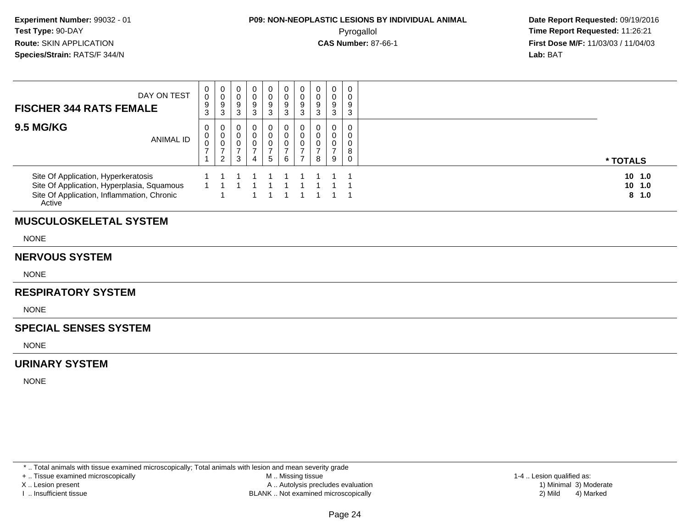| $\pmb{0}$<br>0<br>0<br>0<br>0<br>$_0^0$<br>0<br>0<br>0<br>0<br>DAY ON TEST<br>$\pmb{0}$<br>$\pmb{0}$<br>$\begin{array}{c} 0 \\ 9 \\ 3 \end{array}$<br>$\mathsf{O}$<br>$_{9}^{\rm 0}$<br>$\boldsymbol{0}$<br>$\mathbf 0$<br>$\mathbf 0$<br>$\mathbf 0$<br>$\frac{9}{3}$<br>$\overline{9}$<br>$\overline{9}$<br>$\boldsymbol{9}$<br>9<br>9<br>$\boldsymbol{9}$<br>9<br><b>FISCHER 344 RATS FEMALE</b><br>$\mathbf{3}$<br>$\mathfrak{Z}$<br>$\mathbf{3}$<br>$\mathbf{3}$<br>$\mathbf{3}$<br>$\mathbf{3}$<br>$\mathbf{3}$<br>$\mathsf 3$<br><b>9.5 MG/KG</b><br>0<br>0<br>0<br>0<br>0<br>0<br>0<br>0<br>0<br>0<br>$\mathbf 0$<br>$\boldsymbol{0}$<br>$_{\rm 0}^{\rm 0}$<br>$\overline{0}$<br>$\boldsymbol{0}$<br>$\mathbf 0$<br>$\mathbf 0$<br>$\mathbf 0$<br>0<br>0<br>ANIMAL ID<br>$\overline{0}$<br>$\mathbf 0$<br>$\mathbf 0$<br>$\pmb{0}$<br>$\mathbf 0$<br>$\mathbf 0$<br>$\pmb{0}$<br>0<br>0<br>$\overline{7}$<br>$\boldsymbol{7}$<br>$\overline{7}$<br>$\boldsymbol{7}$<br>$\overline{7}$<br>$\overline{7}$<br>$\overline{7}$<br>$\overline{7}$<br>$\,8\,$<br>$\overline{7}$<br>$\overline{2}$<br>3<br>$\sqrt{5}$<br>6<br>$\overline{7}$<br>8<br>$\mathbf{1}$<br>9<br>$\mathbf 0$<br>4<br>Site Of Application, Hyperkeratosis<br>Site Of Application, Hyperplasia, Squamous<br>$\mathbf{1}$<br>$\overline{1}$<br>Site Of Application, Inflammation, Chronic<br>Active<br>$\overline{1}$<br>8<br><b>MUSCULOSKELETAL SYSTEM</b><br><b>NONE</b><br><b>NERVOUS SYSTEM</b><br><b>NONE</b><br><b>RESPIRATORY SYSTEM</b><br><b>NONE</b><br><b>SPECIAL SENSES SYSTEM</b><br><b>NONE</b><br><b>URINARY SYSTEM</b> |             |  |  |  |  |  |                              |  |
|--------------------------------------------------------------------------------------------------------------------------------------------------------------------------------------------------------------------------------------------------------------------------------------------------------------------------------------------------------------------------------------------------------------------------------------------------------------------------------------------------------------------------------------------------------------------------------------------------------------------------------------------------------------------------------------------------------------------------------------------------------------------------------------------------------------------------------------------------------------------------------------------------------------------------------------------------------------------------------------------------------------------------------------------------------------------------------------------------------------------------------------------------------------------------------------------------------------------------------------------------------------------------------------------------------------------------------------------------------------------------------------------------------------------------------------------------------------------------------------------------------------------------------------------------------------------------------------------------------------|-------------|--|--|--|--|--|------------------------------|--|
|                                                                                                                                                                                                                                                                                                                                                                                                                                                                                                                                                                                                                                                                                                                                                                                                                                                                                                                                                                                                                                                                                                                                                                                                                                                                                                                                                                                                                                                                                                                                                                                                              |             |  |  |  |  |  |                              |  |
|                                                                                                                                                                                                                                                                                                                                                                                                                                                                                                                                                                                                                                                                                                                                                                                                                                                                                                                                                                                                                                                                                                                                                                                                                                                                                                                                                                                                                                                                                                                                                                                                              |             |  |  |  |  |  | * TOTALS                     |  |
|                                                                                                                                                                                                                                                                                                                                                                                                                                                                                                                                                                                                                                                                                                                                                                                                                                                                                                                                                                                                                                                                                                                                                                                                                                                                                                                                                                                                                                                                                                                                                                                                              |             |  |  |  |  |  | 10, 1.0<br>$10$ $1.0$<br>1.0 |  |
|                                                                                                                                                                                                                                                                                                                                                                                                                                                                                                                                                                                                                                                                                                                                                                                                                                                                                                                                                                                                                                                                                                                                                                                                                                                                                                                                                                                                                                                                                                                                                                                                              |             |  |  |  |  |  |                              |  |
|                                                                                                                                                                                                                                                                                                                                                                                                                                                                                                                                                                                                                                                                                                                                                                                                                                                                                                                                                                                                                                                                                                                                                                                                                                                                                                                                                                                                                                                                                                                                                                                                              |             |  |  |  |  |  |                              |  |
|                                                                                                                                                                                                                                                                                                                                                                                                                                                                                                                                                                                                                                                                                                                                                                                                                                                                                                                                                                                                                                                                                                                                                                                                                                                                                                                                                                                                                                                                                                                                                                                                              |             |  |  |  |  |  |                              |  |
|                                                                                                                                                                                                                                                                                                                                                                                                                                                                                                                                                                                                                                                                                                                                                                                                                                                                                                                                                                                                                                                                                                                                                                                                                                                                                                                                                                                                                                                                                                                                                                                                              |             |  |  |  |  |  |                              |  |
|                                                                                                                                                                                                                                                                                                                                                                                                                                                                                                                                                                                                                                                                                                                                                                                                                                                                                                                                                                                                                                                                                                                                                                                                                                                                                                                                                                                                                                                                                                                                                                                                              |             |  |  |  |  |  |                              |  |
|                                                                                                                                                                                                                                                                                                                                                                                                                                                                                                                                                                                                                                                                                                                                                                                                                                                                                                                                                                                                                                                                                                                                                                                                                                                                                                                                                                                                                                                                                                                                                                                                              |             |  |  |  |  |  |                              |  |
|                                                                                                                                                                                                                                                                                                                                                                                                                                                                                                                                                                                                                                                                                                                                                                                                                                                                                                                                                                                                                                                                                                                                                                                                                                                                                                                                                                                                                                                                                                                                                                                                              |             |  |  |  |  |  |                              |  |
|                                                                                                                                                                                                                                                                                                                                                                                                                                                                                                                                                                                                                                                                                                                                                                                                                                                                                                                                                                                                                                                                                                                                                                                                                                                                                                                                                                                                                                                                                                                                                                                                              |             |  |  |  |  |  |                              |  |
|                                                                                                                                                                                                                                                                                                                                                                                                                                                                                                                                                                                                                                                                                                                                                                                                                                                                                                                                                                                                                                                                                                                                                                                                                                                                                                                                                                                                                                                                                                                                                                                                              |             |  |  |  |  |  |                              |  |
|                                                                                                                                                                                                                                                                                                                                                                                                                                                                                                                                                                                                                                                                                                                                                                                                                                                                                                                                                                                                                                                                                                                                                                                                                                                                                                                                                                                                                                                                                                                                                                                                              | <b>NONE</b> |  |  |  |  |  |                              |  |
|                                                                                                                                                                                                                                                                                                                                                                                                                                                                                                                                                                                                                                                                                                                                                                                                                                                                                                                                                                                                                                                                                                                                                                                                                                                                                                                                                                                                                                                                                                                                                                                                              |             |  |  |  |  |  |                              |  |

\* .. Total animals with tissue examined microscopically; Total animals with lesion and mean severity grade

+ .. Tissue examined microscopically

X .. Lesion present

I .. Insufficient tissue

 M .. Missing tissueA .. Autolysis precludes evaluation

BLANK .. Not examined microscopically 2) Mild 4) Marked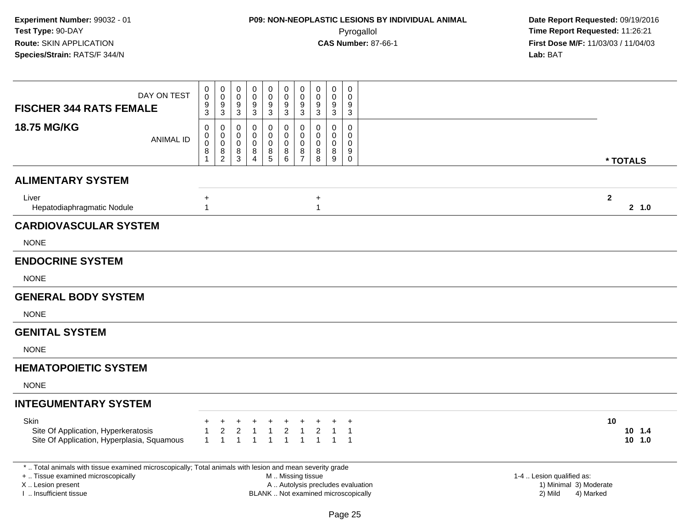| DAY ON TEST<br><b>FISCHER 344 RATS FEMALE</b>                                                                                                  | 0<br>$\mathbf 0$<br>9<br>3                 | $\pmb{0}$<br>$\mathbf 0$<br>$\boldsymbol{9}$<br>$\sqrt{3}$    | 0<br>$\mathbf 0$<br>9<br>$\mathbf{3}$ | 0<br>$\mathbf 0$<br>9<br>3                   | $\boldsymbol{0}$<br>$\pmb{0}$<br>$\boldsymbol{9}$<br>3 | 0<br>$\mathsf{O}\xspace$<br>$\boldsymbol{9}$<br>$\mathbf{3}$ | $\mathbf 0$<br>$\mathbf 0$<br>9<br>3                             | $\mathbf 0$<br>$\mathbf 0$<br>9<br>$\mathfrak{Z}$ | $\pmb{0}$<br>$\mathbf 0$<br>9<br>$\mathbf{3}$   | 0<br>$\mathbf 0$<br>9<br>3                                  |                                     |                           |                            |
|------------------------------------------------------------------------------------------------------------------------------------------------|--------------------------------------------|---------------------------------------------------------------|---------------------------------------|----------------------------------------------|--------------------------------------------------------|--------------------------------------------------------------|------------------------------------------------------------------|---------------------------------------------------|-------------------------------------------------|-------------------------------------------------------------|-------------------------------------|---------------------------|----------------------------|
| 18.75 MG/KG<br><b>ANIMAL ID</b>                                                                                                                | 0<br>0<br>$\mathbf 0$<br>8<br>$\mathbf{1}$ | $\mathbf 0$<br>$\mathsf{O}$<br>$\mathbf 0$<br>8<br>$\sqrt{2}$ | 0<br>0<br>0<br>8<br>3                 | 0<br>$\mathbf 0$<br>0<br>8<br>$\overline{4}$ | 0<br>$\mathsf 0$<br>0<br>8<br>5                        | 0<br>0<br>0<br>$_{6}^{8}$                                    | $\mathbf 0$<br>$\mathbf 0$<br>$\mathbf 0$<br>8<br>$\overline{7}$ | 0<br>$\Omega$<br>$\Omega$<br>8<br>8               | 0<br>$\mathbf 0$<br>$\mathbf 0$<br>$\bf 8$<br>9 | $\mathbf 0$<br>$\mathbf 0$<br>$\mathbf 0$<br>9<br>$\pmb{0}$ |                                     |                           | * TOTALS                   |
| <b>ALIMENTARY SYSTEM</b>                                                                                                                       |                                            |                                                               |                                       |                                              |                                                        |                                                              |                                                                  |                                                   |                                                 |                                                             |                                     |                           |                            |
| Liver<br>Hepatodiaphragmatic Nodule                                                                                                            | +<br>$\mathbf{1}$                          |                                                               |                                       |                                              |                                                        |                                                              |                                                                  | $\ddot{}$<br>1                                    |                                                 |                                                             |                                     |                           | $\overline{2}$<br>2, 1.0   |
| <b>CARDIOVASCULAR SYSTEM</b>                                                                                                                   |                                            |                                                               |                                       |                                              |                                                        |                                                              |                                                                  |                                                   |                                                 |                                                             |                                     |                           |                            |
| <b>NONE</b>                                                                                                                                    |                                            |                                                               |                                       |                                              |                                                        |                                                              |                                                                  |                                                   |                                                 |                                                             |                                     |                           |                            |
| <b>ENDOCRINE SYSTEM</b>                                                                                                                        |                                            |                                                               |                                       |                                              |                                                        |                                                              |                                                                  |                                                   |                                                 |                                                             |                                     |                           |                            |
| <b>NONE</b>                                                                                                                                    |                                            |                                                               |                                       |                                              |                                                        |                                                              |                                                                  |                                                   |                                                 |                                                             |                                     |                           |                            |
| <b>GENERAL BODY SYSTEM</b>                                                                                                                     |                                            |                                                               |                                       |                                              |                                                        |                                                              |                                                                  |                                                   |                                                 |                                                             |                                     |                           |                            |
| <b>NONE</b>                                                                                                                                    |                                            |                                                               |                                       |                                              |                                                        |                                                              |                                                                  |                                                   |                                                 |                                                             |                                     |                           |                            |
| <b>GENITAL SYSTEM</b>                                                                                                                          |                                            |                                                               |                                       |                                              |                                                        |                                                              |                                                                  |                                                   |                                                 |                                                             |                                     |                           |                            |
| <b>NONE</b>                                                                                                                                    |                                            |                                                               |                                       |                                              |                                                        |                                                              |                                                                  |                                                   |                                                 |                                                             |                                     |                           |                            |
| <b>HEMATOPOIETIC SYSTEM</b>                                                                                                                    |                                            |                                                               |                                       |                                              |                                                        |                                                              |                                                                  |                                                   |                                                 |                                                             |                                     |                           |                            |
| <b>NONE</b>                                                                                                                                    |                                            |                                                               |                                       |                                              |                                                        |                                                              |                                                                  |                                                   |                                                 |                                                             |                                     |                           |                            |
| <b>INTEGUMENTARY SYSTEM</b>                                                                                                                    |                                            |                                                               |                                       |                                              |                                                        |                                                              |                                                                  |                                                   |                                                 |                                                             |                                     |                           |                            |
| Skin<br>Site Of Application, Hyperkeratosis<br>Site Of Application, Hyperplasia, Squamous                                                      | $\mathbf{1}$                               | $\mathbf{1}$                                                  | 2<br>$\mathbf{1}$                     | $\overline{1}$                               | $\mathbf{1}$                                           | $\overline{c}$<br>$\mathbf{1}$                               | $\overline{1}$                                                   | $\overline{c}$<br>$\overline{1}$                  | $\overline{1}$                                  | $\mathbf{1}$<br>$\mathbf{1}$                                |                                     |                           | 10<br>$10$ 1.4<br>$10$ 1.0 |
| *  Total animals with tissue examined microscopically; Total animals with lesion and mean severity grade<br>+  Tissue examined microscopically |                                            |                                                               |                                       |                                              |                                                        | M  Missing tissue                                            |                                                                  |                                                   |                                                 |                                                             |                                     | 1-4  Lesion qualified as: |                            |
| X  Lesion present<br>I  Insufficient tissue                                                                                                    |                                            |                                                               |                                       |                                              |                                                        |                                                              |                                                                  |                                                   |                                                 |                                                             | A  Autolysis precludes evaluation   | 2) Mild                   | 1) Minimal 3) Moderate     |
|                                                                                                                                                |                                            |                                                               |                                       |                                              |                                                        |                                                              |                                                                  |                                                   |                                                 |                                                             | BLANK  Not examined microscopically |                           | 4) Marked                  |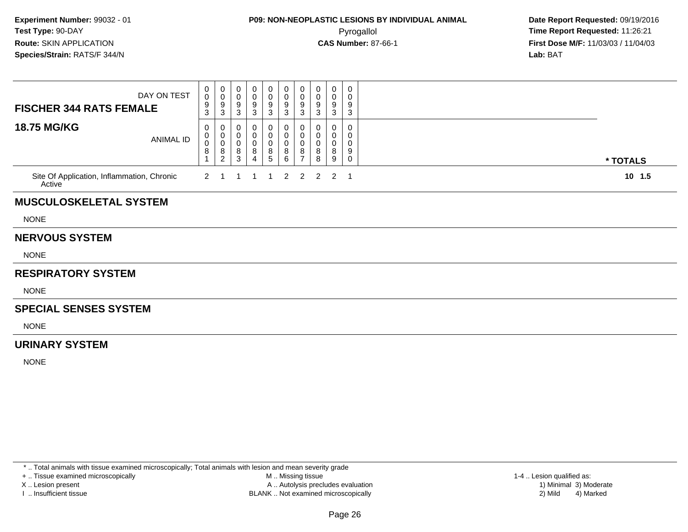## **P09: NON-NEOPLASTIC LESIONS BY INDIVIDUAL ANIMAL**Pyrogallol **Time Report Requested:** 11:26:21

 **Date Report Requested:** 09/19/2016 **First Dose M/F:** 11/03/03 / 11/04/03<br>**Lab:** BAT **Lab:** BAT

| <b>FISCHER 344 RATS FEMALE</b>                       | DAY ON TEST      | 0<br>$\mathbf 0$<br>9<br>$\mathbf{3}$ | $\begin{smallmatrix}0\0\0\end{smallmatrix}$<br>$\boldsymbol{9}$<br>3  | 0<br>$\pmb{0}$<br>$\boldsymbol{9}$<br>3 | 0<br>0<br>9<br>3                   | 0<br>0<br>9<br>3                    | 0<br>$\mathbf 0$<br>$\boldsymbol{9}$<br>3 | 0<br>$\mathbf 0$<br>9<br>3         | 0<br>0<br>9<br>3      | 0<br>0<br>9<br>3 | 0<br>0<br>9<br>3      |          |  |
|------------------------------------------------------|------------------|---------------------------------------|-----------------------------------------------------------------------|-----------------------------------------|------------------------------------|-------------------------------------|-------------------------------------------|------------------------------------|-----------------------|------------------|-----------------------|----------|--|
| <b>18.75 MG/KG</b>                                   | <b>ANIMAL ID</b> | 0<br>0<br>0<br>8                      | 0<br>0<br>$\pmb{0}$<br>$\begin{smallmatrix} 8 \\ 2 \end{smallmatrix}$ | 0<br>0<br>0<br>$^8_3$                   | 0<br>0<br>0<br>8<br>$\overline{4}$ | 0<br>0<br>0<br>8<br>$5\phantom{.0}$ | 0<br>0<br>$\mathbf 0$<br>8<br>6           | 0<br>0<br>0<br>8<br>$\overline{7}$ | 0<br>0<br>0<br>8<br>8 | 0<br>0<br>8<br>9 | 0<br>0<br>0<br>9<br>0 | * TOTALS |  |
| Site Of Application, Inflammation, Chronic<br>Active |                  | 2                                     |                                                                       |                                         |                                    |                                     | $\overline{2}$                            | $\overline{2}$                     | 2                     | $\overline{2}$   | -1                    | $10$ 1.5 |  |
| <b>MUSCULOSKELETAL SYSTEM</b>                        |                  |                                       |                                                                       |                                         |                                    |                                     |                                           |                                    |                       |                  |                       |          |  |
| <b>NONE</b>                                          |                  |                                       |                                                                       |                                         |                                    |                                     |                                           |                                    |                       |                  |                       |          |  |
| <b>NERVOUS SYSTEM</b>                                |                  |                                       |                                                                       |                                         |                                    |                                     |                                           |                                    |                       |                  |                       |          |  |
| <b>NONE</b>                                          |                  |                                       |                                                                       |                                         |                                    |                                     |                                           |                                    |                       |                  |                       |          |  |
| <b>RESPIRATORY SYSTEM</b>                            |                  |                                       |                                                                       |                                         |                                    |                                     |                                           |                                    |                       |                  |                       |          |  |
| <b>NONE</b>                                          |                  |                                       |                                                                       |                                         |                                    |                                     |                                           |                                    |                       |                  |                       |          |  |
| <b>SPECIAL SENSES SYSTEM</b>                         |                  |                                       |                                                                       |                                         |                                    |                                     |                                           |                                    |                       |                  |                       |          |  |
| <b>NONE</b>                                          |                  |                                       |                                                                       |                                         |                                    |                                     |                                           |                                    |                       |                  |                       |          |  |
| <b>URINARY SYSTEM</b>                                |                  |                                       |                                                                       |                                         |                                    |                                     |                                           |                                    |                       |                  |                       |          |  |
| <b>NONE</b>                                          |                  |                                       |                                                                       |                                         |                                    |                                     |                                           |                                    |                       |                  |                       |          |  |
|                                                      |                  |                                       |                                                                       |                                         |                                    |                                     |                                           |                                    |                       |                  |                       |          |  |

\* .. Total animals with tissue examined microscopically; Total animals with lesion and mean severity grade

+ .. Tissue examined microscopically

X .. Lesion present

I .. Insufficient tissue

 M .. Missing tissueA .. Autolysis precludes evaluation

BLANK .. Not examined microscopically 2) Mild 4) Marked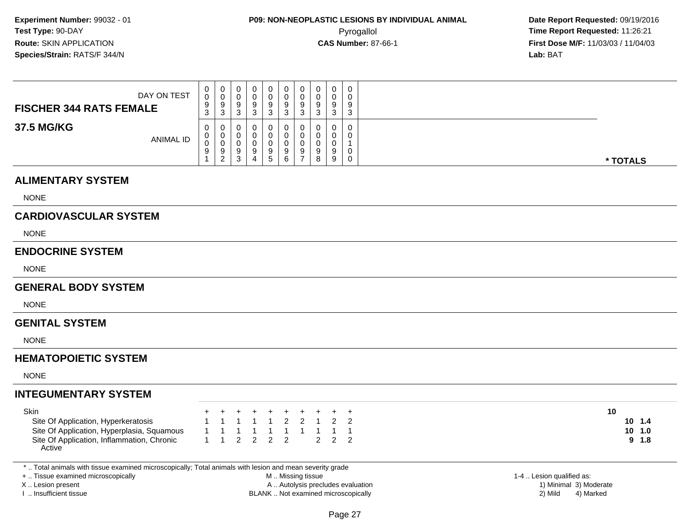| DAY ON TEST<br><b>FISCHER 344 RATS FEMALE</b> | 0<br>0<br>9<br>$\sim$<br>- ၁ | 0<br>U<br>9<br>-3     |  | 0<br>9<br>ت                 | 0<br>0<br>9<br>ັບ | 0<br>U<br>9<br>3 | 0<br>υ<br>9<br>⌒<br>ບ | $\Omega$<br>- ၁ | $\mathbf 0$<br>0<br>9<br>3 |
|-----------------------------------------------|------------------------------|-----------------------|--|-----------------------------|-------------------|------------------|-----------------------|-----------------|----------------------------|
| 37.5 MG/KG<br><b>ANIMAL ID</b>                | 0<br>0<br>0<br>9             | 0<br>0<br>U<br>9<br>2 |  | 0<br>U<br>9<br><sub>5</sub> | 0<br>U<br>9<br>6  | υ<br>9           | 0<br>υ<br>9<br>8      |                 | 0<br>0<br>0<br>0           |

#### **ALIMENTARY SYSTEM**

NONE

### **CARDIOVASCULAR SYSTEM**

NONE

#### **ENDOCRINE SYSTEM**

NONE

#### **GENERAL BODY SYSTEM**

NONE

#### **GENITAL SYSTEM**

NONE

### **HEMATOPOIETIC SYSTEM**

NONE

### **INTEGUMENTARY SYSTEM**

| Skin                                                 |                     | + + + + + + + + + + |  |  |  |  |
|------------------------------------------------------|---------------------|---------------------|--|--|--|--|
| Site Of Application, Hyperkeratosis                  |                     | 1 1 1 1 1 2 2 1 2 2 |  |  |  |  |
| Site Of Application, Hyperplasia, Squamous           | 1 1 1 1 1 1 1 1 1 1 |                     |  |  |  |  |
| Site Of Application, Inflammation, Chronic<br>Active |                     | 1 1 2 2 2 2 2 2 2 2 |  |  |  |  |

\* .. Total animals with tissue examined microscopically; Total animals with lesion and mean severity grade

+ .. Tissue examined microscopically

X .. Lesion present

I .. Insufficient tissue

 M .. Missing tissueA .. Autolysis precludes evaluation

BLANK .. Not examined microscopically 2) Mild 4) Marked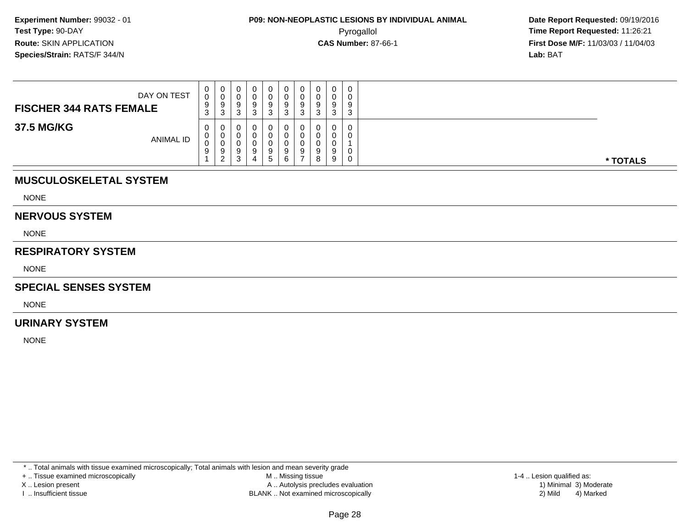**Date Report Requested:** 09/19/2016 **First Dose M/F:** 11/03/03 / 11/04/03<br>**Lab:** BAT **Lab:** BAT

| DAY ON TEST<br><b>FISCHER 344 RATS FEMALE</b> | 0<br><sup>n</sup><br>U<br>9<br>ົ<br><b>ن</b> | $\mathbf 0$<br>0<br>9<br>3 | Ω | 0<br>v<br>-9<br>ົ<br>J | υ<br>U<br>9<br>ົ | 0<br>0<br>9<br>-3 | ◡ | 0<br>0<br>9<br>3                | $\mathbf{0}$<br>9<br>ົ<br>J |          |
|-----------------------------------------------|----------------------------------------------|----------------------------|---|------------------------|------------------|-------------------|---|---------------------------------|-----------------------------|----------|
| 37.5 MG/KG<br><b>ANIMAL ID</b>                | 0<br>U<br>ν<br>9                             | 0<br>0<br>0<br>9<br>ົ      |   | 0<br>0<br>0<br>9<br>b. | U<br>9<br>6.     | 0<br>0<br>9       |   | $\mathbf 0$<br>0<br>0<br>9<br>9 | 0<br>0                      | * TOTALS |

## **MUSCULOSKELETAL SYSTEM**

NONE

#### **NERVOUS SYSTEM**

NONE

#### **RESPIRATORY SYSTEM**

NONE

#### **SPECIAL SENSES SYSTEM**

NONE

#### **URINARY SYSTEM**

NONE

\* .. Total animals with tissue examined microscopically; Total animals with lesion and mean severity grade

+ .. Tissue examined microscopically

X .. Lesion present

I .. Insufficient tissue

 M .. Missing tissueA .. Autolysis precludes evaluation

BLANK .. Not examined microscopically 2) Mild 4) Marked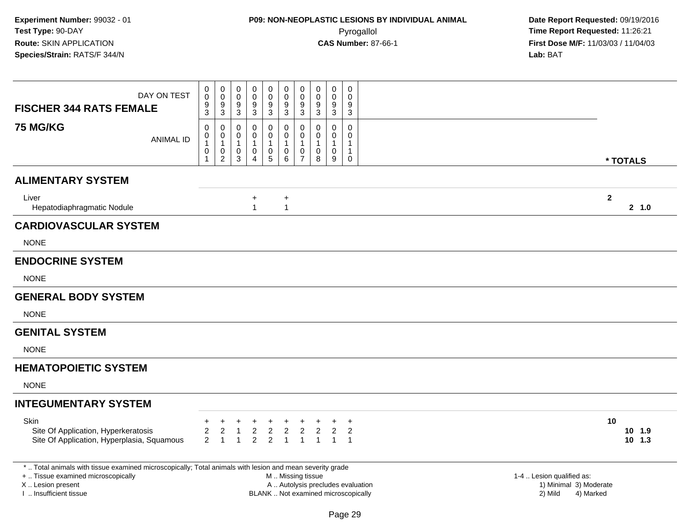| DAY ON TEST<br><b>FISCHER 344 RATS FEMALE</b>                                                            | $\boldsymbol{0}$<br>$\pmb{0}$<br>0<br>$\mathbf 0$<br>$\mathbf 0$<br>0<br>0<br>0<br>0<br>0<br>$\pmb{0}$<br>$\pmb{0}$<br>$\boldsymbol{0}$<br>$\mathbf 0$<br>$\mathsf{O}\xspace$<br>$\pmb{0}$<br>$\pmb{0}$<br>0<br>$\mathbf 0$<br>0<br>9<br>$9\,$<br>9<br>9<br>9<br>9<br>9<br>9<br>9<br>9<br>$\overline{3}$<br>$\overline{3}$<br>$\overline{3}$<br>$\overline{3}$<br>$\overline{3}$<br>$\overline{3}$<br>$\mathfrak{S}$<br>$\mathfrak{Z}$<br>$\mathfrak{Z}$<br>3                                                                                                                            |                        |
|----------------------------------------------------------------------------------------------------------|------------------------------------------------------------------------------------------------------------------------------------------------------------------------------------------------------------------------------------------------------------------------------------------------------------------------------------------------------------------------------------------------------------------------------------------------------------------------------------------------------------------------------------------------------------------------------------------|------------------------|
| <b>75 MG/KG</b><br><b>ANIMAL ID</b>                                                                      | $\mathbf 0$<br>0<br>$\mathbf 0$<br>$\mathbf 0$<br>$\mathbf 0$<br>0<br>0<br>0<br>0<br>0<br>$\boldsymbol{0}$<br>$\mathsf 0$<br>$\mathbf 0$<br>0<br>$\mathbf 0$<br>$\mathbf 0$<br>$\mathbf 0$<br>0<br>0<br>0<br>$\mathbf{1}$<br>$\mathbf{1}$<br>$\mathbf{1}$<br>$\mathbf{1}$<br>$\overline{1}$<br>1<br>-1<br>1<br>$\mathbf{1}$<br>-1<br>$\mathbf 0$<br>$\pmb{0}$<br>$\mathbf 0$<br>$\boldsymbol{0}$<br>$\mathbf 0$<br>0<br>$\mathbf 0$<br>0<br>0<br>$\mathbf{1}$<br>$\overline{2}$<br>$5\phantom{.0}$<br>6<br>$\overline{7}$<br>9<br>3<br>8<br>0<br>$\overline{\mathbf{4}}$<br>$\mathbf{1}$ | * TOTALS               |
| <b>ALIMENTARY SYSTEM</b>                                                                                 |                                                                                                                                                                                                                                                                                                                                                                                                                                                                                                                                                                                          |                        |
| Liver<br>Hepatodiaphragmatic Nodule                                                                      | $\ddot{}$<br>+<br>$\mathbf{1}$<br>$\mathbf{1}$                                                                                                                                                                                                                                                                                                                                                                                                                                                                                                                                           | $\mathbf{2}$<br>2, 1.0 |
| <b>CARDIOVASCULAR SYSTEM</b>                                                                             |                                                                                                                                                                                                                                                                                                                                                                                                                                                                                                                                                                                          |                        |
| <b>NONE</b>                                                                                              |                                                                                                                                                                                                                                                                                                                                                                                                                                                                                                                                                                                          |                        |
| <b>ENDOCRINE SYSTEM</b>                                                                                  |                                                                                                                                                                                                                                                                                                                                                                                                                                                                                                                                                                                          |                        |
| <b>NONE</b>                                                                                              |                                                                                                                                                                                                                                                                                                                                                                                                                                                                                                                                                                                          |                        |
| <b>GENERAL BODY SYSTEM</b>                                                                               |                                                                                                                                                                                                                                                                                                                                                                                                                                                                                                                                                                                          |                        |
| <b>NONE</b>                                                                                              |                                                                                                                                                                                                                                                                                                                                                                                                                                                                                                                                                                                          |                        |
| <b>GENITAL SYSTEM</b>                                                                                    |                                                                                                                                                                                                                                                                                                                                                                                                                                                                                                                                                                                          |                        |
| <b>NONE</b>                                                                                              |                                                                                                                                                                                                                                                                                                                                                                                                                                                                                                                                                                                          |                        |
| <b>HEMATOPOIETIC SYSTEM</b>                                                                              |                                                                                                                                                                                                                                                                                                                                                                                                                                                                                                                                                                                          |                        |
| <b>NONE</b>                                                                                              |                                                                                                                                                                                                                                                                                                                                                                                                                                                                                                                                                                                          |                        |
| <b>INTEGUMENTARY SYSTEM</b>                                                                              |                                                                                                                                                                                                                                                                                                                                                                                                                                                                                                                                                                                          |                        |
| Skin                                                                                                     | $\ddot{}$                                                                                                                                                                                                                                                                                                                                                                                                                                                                                                                                                                                | 10                     |
| Site Of Application, Hyperkeratosis                                                                      | $\sqrt{2}$<br>$\boldsymbol{2}$<br>$\boldsymbol{2}$<br>$\overline{2}$<br>$\overline{2}$<br>2<br>2<br>2<br>2                                                                                                                                                                                                                                                                                                                                                                                                                                                                               | 10, 1.9                |
| Site Of Application, Hyperplasia, Squamous                                                               | $\overline{2}$<br>$\overline{2}$<br>$\overline{2}$<br>$\mathbf{1}$<br>$\mathbf{1}$<br>$\mathbf{1}$<br>$\overline{1}$<br>$\overline{1}$<br>$\mathbf{1}$<br>$\overline{1}$                                                                                                                                                                                                                                                                                                                                                                                                                 | $10$ 1.3               |
| *  Total animals with tissue examined microscopically; Total animals with lesion and mean severity grade |                                                                                                                                                                                                                                                                                                                                                                                                                                                                                                                                                                                          |                        |
| +  Tissue examined microscopically<br>X  Lesion present                                                  | M  Missing tissue<br>1-4  Lesion qualified as:<br>A  Autolysis precludes evaluation<br>1) Minimal 3) Moderate                                                                                                                                                                                                                                                                                                                                                                                                                                                                            |                        |
| I  Insufficient tissue                                                                                   | BLANK  Not examined microscopically<br>2) Mild                                                                                                                                                                                                                                                                                                                                                                                                                                                                                                                                           | 4) Marked              |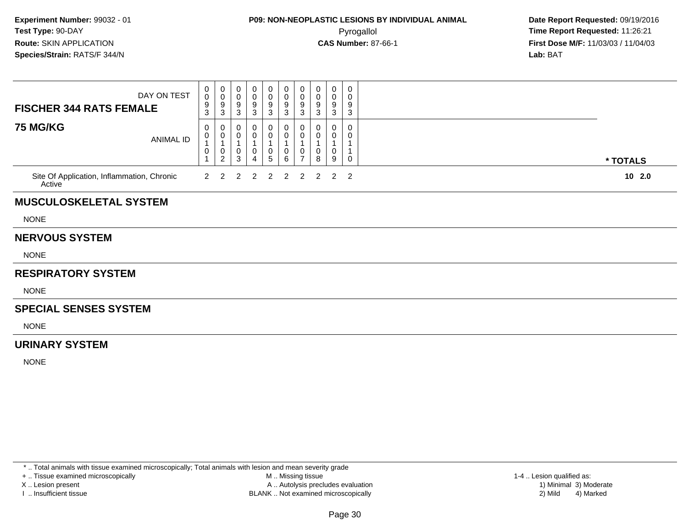| DAY ON TEST<br><b>FISCHER 344 RATS FEMALE</b>        | 0<br>$\mathbf 0$<br>9<br>3 | $\begin{smallmatrix} 0\\0 \end{smallmatrix}$<br>$\boldsymbol{9}$<br>$\mathfrak{S}$ | 0<br>0<br>9<br>3                | 0<br>0<br>9<br>3              | 0<br>0<br>9<br>3          | $\mathbf 0$<br>$\overline{0}$<br>9<br>$\mathbf{3}$ | 0<br>$\boldsymbol{0}$<br>$\boldsymbol{9}$<br>$\mathbf{3}$ | 0<br>0<br>9<br>3 | 0<br>0<br>9<br>3      | $\mathbf 0$<br>0<br>9<br>3 |          |
|------------------------------------------------------|----------------------------|------------------------------------------------------------------------------------|---------------------------------|-------------------------------|---------------------------|----------------------------------------------------|-----------------------------------------------------------|------------------|-----------------------|----------------------------|----------|
| <b>75 MG/KG</b><br><b>ANIMAL ID</b>                  | 0<br>0<br>0                | 0<br>0<br>$\mathbf{1}$<br>$\boldsymbol{0}$<br>$\overline{c}$                       | 0<br>0<br>1<br>$\mathbf 0$<br>3 | 0<br>1<br>0<br>$\overline{4}$ | 0<br>0<br>0<br>$\sqrt{5}$ | 0<br>$\mathbf 0$<br>$\mathbf 0$<br>$6\phantom{1}$  | 0<br>0<br>1<br>0<br>$\overline{7}$                        | 0<br>0<br>8      | 0<br>0<br>1<br>0<br>9 | 0<br>0<br>$\Omega$         | * TOTALS |
| Site Of Application, Inflammation, Chronic<br>Active | $\overline{2}$             | 2                                                                                  | 2                               | $\overline{2}$                | $\overline{2}$            | $\overline{2}$                                     | $\overline{2}$                                            | 2                | $\overline{2}$        | $\overline{2}$             | 102.0    |
| <b>MUSCULOSKELETAL SYSTEM</b>                        |                            |                                                                                    |                                 |                               |                           |                                                    |                                                           |                  |                       |                            |          |
| <b>NONE</b>                                          |                            |                                                                                    |                                 |                               |                           |                                                    |                                                           |                  |                       |                            |          |
| <b>NERVOUS SYSTEM</b>                                |                            |                                                                                    |                                 |                               |                           |                                                    |                                                           |                  |                       |                            |          |
| <b>NONE</b>                                          |                            |                                                                                    |                                 |                               |                           |                                                    |                                                           |                  |                       |                            |          |
| <b>RESPIRATORY SYSTEM</b>                            |                            |                                                                                    |                                 |                               |                           |                                                    |                                                           |                  |                       |                            |          |
| <b>NONE</b>                                          |                            |                                                                                    |                                 |                               |                           |                                                    |                                                           |                  |                       |                            |          |
| <b>SPECIAL SENSES SYSTEM</b>                         |                            |                                                                                    |                                 |                               |                           |                                                    |                                                           |                  |                       |                            |          |
| <b>NONE</b>                                          |                            |                                                                                    |                                 |                               |                           |                                                    |                                                           |                  |                       |                            |          |
| <b>URINARY SYSTEM</b>                                |                            |                                                                                    |                                 |                               |                           |                                                    |                                                           |                  |                       |                            |          |
| <b>NONE</b>                                          |                            |                                                                                    |                                 |                               |                           |                                                    |                                                           |                  |                       |                            |          |
|                                                      |                            |                                                                                    |                                 |                               |                           |                                                    |                                                           |                  |                       |                            |          |

\* .. Total animals with tissue examined microscopically; Total animals with lesion and mean severity grade

+ .. Tissue examined microscopically

X .. Lesion present

I .. Insufficient tissue

 M .. Missing tissueA .. Autolysis precludes evaluation

BLANK .. Not examined microscopically 2) Mild 4) Marked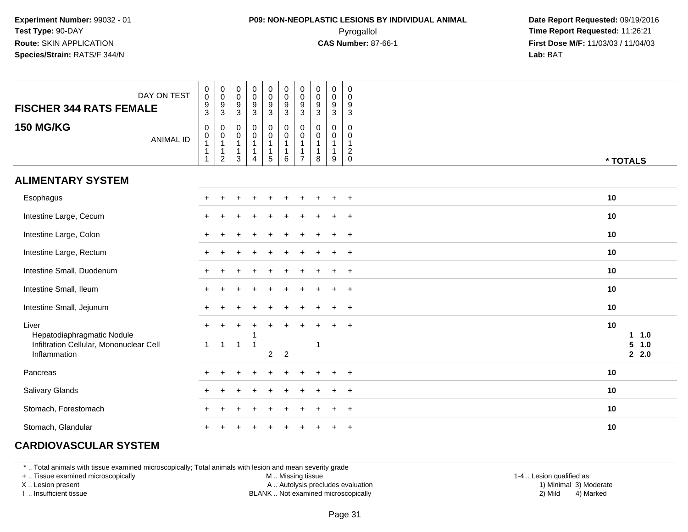## **P09: NON-NEOPLASTIC LESIONS BY INDIVIDUAL ANIMAL**Pyrogallol **Time Report Requested:** 11:26:21

 **Date Report Requested:** 09/19/2016 **First Dose M/F:** 11/03/03 / 11/04/03<br>**Lab:** BAT **Lab:** BAT

| DAY ON TEST<br><b>FISCHER 344 RATS FEMALE</b>                                                  | $\pmb{0}$<br>$\mathsf{O}\xspace$<br>$\overline{9}$<br>3 | $\begin{array}{c} 0 \\ 0 \\ 9 \\ 3 \end{array}$   | $\pmb{0}$<br>$\mathbf 0$<br>$\boldsymbol{9}$<br>$\mathbf{3}$                    | $\pmb{0}$<br>$\mathbf 0$<br>$\boldsymbol{9}$<br>$\mathbf{3}$             | $\begin{smallmatrix}0\0\0\end{smallmatrix}$<br>$\boldsymbol{9}$<br>3 | $\begin{smallmatrix} 0\\0 \end{smallmatrix}$<br>$\overline{9}$<br>$\mathbf{3}$   | $\pmb{0}$<br>$\pmb{0}$<br>$\boldsymbol{9}$<br>$\mathbf{3}$ | $\pmb{0}$<br>$\mathbf 0$<br>9<br>$\mathbf{3}$ | $\pmb{0}$<br>$\mathbf 0$<br>$\boldsymbol{9}$<br>3     | $\mathbf 0$<br>$\mathbf 0$<br>9<br>3                              |                                               |
|------------------------------------------------------------------------------------------------|---------------------------------------------------------|---------------------------------------------------|---------------------------------------------------------------------------------|--------------------------------------------------------------------------|----------------------------------------------------------------------|----------------------------------------------------------------------------------|------------------------------------------------------------|-----------------------------------------------|-------------------------------------------------------|-------------------------------------------------------------------|-----------------------------------------------|
| <b>150 MG/KG</b><br><b>ANIMAL ID</b>                                                           | $\mathsf 0$<br>$\mathbf 0$<br>$\mathbf{1}$              | $\pmb{0}$<br>$\overline{0}$<br>1<br>$\frac{1}{2}$ | $\mathbf 0$<br>$\boldsymbol{0}$<br>$\mathbf{1}$<br>$\mathbf{1}$<br>$\mathbf{3}$ | $\pmb{0}$<br>$\pmb{0}$<br>$\mathbf{1}$<br>$\mathbf{1}$<br>$\overline{4}$ | 0<br>$\mathbf 0$<br>$\mathbf{1}$<br>$\mathbf{1}$<br>5                | $\begin{smallmatrix} 0\\0 \end{smallmatrix}$<br>$\mathbf{1}$<br>$\mathbf 1$<br>6 | $\pmb{0}$<br>$\pmb{0}$<br>$\mathbf{1}$<br>$\overline{7}$   | $\mathbf 0$<br>$\mathbf 0$<br>-1<br>8         | $\pmb{0}$<br>0<br>$\overline{1}$<br>$\mathbf{1}$<br>9 | $\mathbf 0$<br>0<br>$\mathbf{1}$<br>$\overline{c}$<br>$\mathbf 0$ | * TOTALS                                      |
| <b>ALIMENTARY SYSTEM</b>                                                                       |                                                         |                                                   |                                                                                 |                                                                          |                                                                      |                                                                                  |                                                            |                                               |                                                       |                                                                   |                                               |
| Esophagus                                                                                      |                                                         |                                                   |                                                                                 |                                                                          |                                                                      |                                                                                  |                                                            |                                               |                                                       | $\pm$                                                             | 10                                            |
| Intestine Large, Cecum                                                                         |                                                         |                                                   |                                                                                 |                                                                          |                                                                      |                                                                                  |                                                            |                                               |                                                       | $+$                                                               | 10                                            |
| Intestine Large, Colon                                                                         |                                                         |                                                   |                                                                                 |                                                                          |                                                                      |                                                                                  |                                                            |                                               |                                                       | $+$                                                               | 10                                            |
| Intestine Large, Rectum                                                                        |                                                         |                                                   |                                                                                 |                                                                          |                                                                      |                                                                                  |                                                            |                                               |                                                       | $\ddot{}$                                                         | 10                                            |
| Intestine Small, Duodenum                                                                      | $+$                                                     |                                                   |                                                                                 |                                                                          |                                                                      |                                                                                  |                                                            |                                               |                                                       | $^{+}$                                                            | 10                                            |
| Intestine Small, Ileum                                                                         | $+$                                                     |                                                   |                                                                                 |                                                                          |                                                                      |                                                                                  |                                                            |                                               |                                                       | $^{+}$                                                            | 10                                            |
| Intestine Small, Jejunum                                                                       |                                                         |                                                   |                                                                                 |                                                                          |                                                                      |                                                                                  |                                                            |                                               |                                                       | $^{+}$                                                            | 10                                            |
| Liver<br>Hepatodiaphragmatic Nodule<br>Infiltration Cellular, Mononuclear Cell<br>Inflammation | $+$<br>$\mathbf{1}$                                     | $\overline{1}$                                    | $\mathbf{1}$                                                                    |                                                                          | $\overline{2}$                                                       | $\overline{2}$                                                                   |                                                            | -1                                            |                                                       | $\ddot{}$                                                         | 10<br>1.0<br>$\mathbf 1$<br>5<br>1.0<br>2.2.0 |
| Pancreas                                                                                       |                                                         |                                                   |                                                                                 |                                                                          |                                                                      |                                                                                  |                                                            |                                               |                                                       | $\overline{1}$                                                    | 10                                            |
| Salivary Glands                                                                                |                                                         |                                                   |                                                                                 |                                                                          |                                                                      |                                                                                  |                                                            |                                               |                                                       | $\ddot{}$                                                         | 10                                            |
| Stomach, Forestomach                                                                           |                                                         |                                                   |                                                                                 |                                                                          |                                                                      |                                                                                  |                                                            |                                               |                                                       | $\overline{1}$                                                    | 10                                            |
| Stomach, Glandular                                                                             |                                                         |                                                   |                                                                                 |                                                                          |                                                                      |                                                                                  |                                                            |                                               |                                                       | $\ddot{}$                                                         | 10                                            |

## **CARDIOVASCULAR SYSTEM**

\* .. Total animals with tissue examined microscopically; Total animals with lesion and mean severity grade

+ .. Tissue examined microscopically

X .. Lesion present

I .. Insufficient tissue

M .. Missing tissue

A .. Autolysis precludes evaluation

BLANK .. Not examined microscopically 2) Mild 4) Marked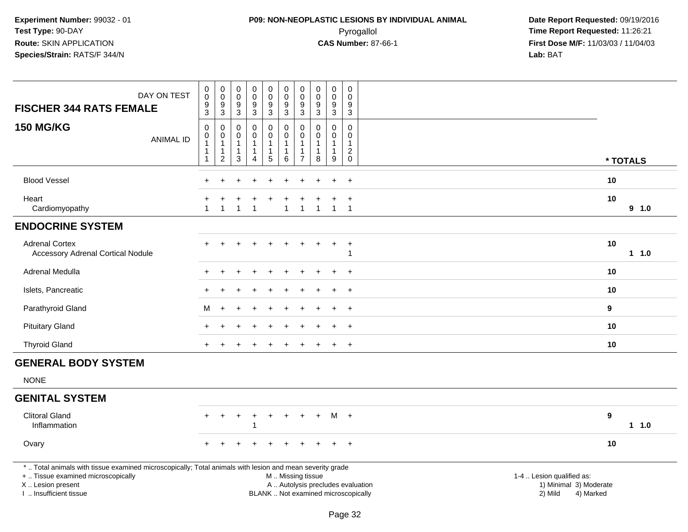## **P09: NON-NEOPLASTIC LESIONS BY INDIVIDUAL ANIMAL**Pyrogallol **Time Report Requested:** 11:26:21

 **Date Report Requested:** 09/19/2016 **First Dose M/F:** 11/03/03 / 11/04/03<br>**Lab:** BAT **Lab:** BAT

| DAY ON TEST<br><b>FISCHER 344 RATS FEMALE</b>                                                                                                                                                 | $\mathbf 0$<br>$\mathsf{O}\xspace$<br>$\boldsymbol{9}$<br>$\mathbf{3}$ | $\pmb{0}$<br>$\mathsf 0$<br>$\boldsymbol{9}$<br>3               | $\pmb{0}$<br>$\mathbf 0$<br>$9\,$<br>3                          | $\pmb{0}$<br>$\mathsf{O}\xspace$<br>$\boldsymbol{9}$<br>3 | $\pmb{0}$<br>$\ddot{\mathbf{0}}$<br>$\boldsymbol{9}$<br>3        | $\mathsf{O}\xspace$<br>$\ddot{\mathbf{0}}$<br>$9\,$<br>3  | $\pmb{0}$<br>$\pmb{0}$<br>$\boldsymbol{9}$<br>$\mathbf{3}$          | $_{\rm 0}^{\rm 0}$<br>$\boldsymbol{9}$<br>3                              | $\pmb{0}$<br>$\ddot{\mathbf{0}}$<br>$\frac{9}{3}$   | $\mathbf 0$<br>$\mathbf 0$<br>9<br>$\mathbf{3}$                      |                                                                |           |          |
|-----------------------------------------------------------------------------------------------------------------------------------------------------------------------------------------------|------------------------------------------------------------------------|-----------------------------------------------------------------|-----------------------------------------------------------------|-----------------------------------------------------------|------------------------------------------------------------------|-----------------------------------------------------------|---------------------------------------------------------------------|--------------------------------------------------------------------------|-----------------------------------------------------|----------------------------------------------------------------------|----------------------------------------------------------------|-----------|----------|
| <b>150 MG/KG</b><br><b>ANIMAL ID</b>                                                                                                                                                          | $\boldsymbol{0}$<br>$\boldsymbol{0}$<br>$\mathbf{1}$<br>-1<br>-1       | $\mathbf 0$<br>$\pmb{0}$<br>$\mathbf{1}$<br>1<br>$\overline{c}$ | $\mathbf 0$<br>$\mathbf 0$<br>$\mathbf{1}$<br>$\mathbf{1}$<br>3 | $\mathbf 0$<br>0<br>4                                     | 0<br>$\pmb{0}$<br>$\mathbf{1}$<br>$\mathbf{1}$<br>$\overline{5}$ | $\mathbf 0$<br>$\boldsymbol{0}$<br>$\mathbf{1}$<br>1<br>6 | $\mathbf{0}$<br>0<br>$\mathbf{1}$<br>$\mathbf{1}$<br>$\overline{7}$ | $\mathbf 0$<br>$\pmb{0}$<br>$\mathbf{1}$<br>1<br>8                       | 0<br>$\pmb{0}$<br>$\mathbf{1}$<br>$\mathbf{1}$<br>9 | $\mathbf 0$<br>$\mathbf 0$<br>$\mathbf{1}$<br>$\sqrt{2}$<br>$\Omega$ |                                                                |           | * TOTALS |
| <b>Blood Vessel</b>                                                                                                                                                                           |                                                                        |                                                                 |                                                                 |                                                           |                                                                  |                                                           |                                                                     |                                                                          |                                                     | $\overline{+}$                                                       |                                                                | 10        |          |
| Heart<br>Cardiomyopathy                                                                                                                                                                       | -1                                                                     | 1                                                               | -1                                                              | -1                                                        |                                                                  | $\mathbf 1$                                               | 1                                                                   | $\overline{1}$                                                           | $\overline{1}$                                      | $\ddot{}$<br>$\overline{1}$                                          |                                                                | 10        | 9 1.0    |
| <b>ENDOCRINE SYSTEM</b>                                                                                                                                                                       |                                                                        |                                                                 |                                                                 |                                                           |                                                                  |                                                           |                                                                     |                                                                          |                                                     |                                                                      |                                                                |           |          |
| <b>Adrenal Cortex</b><br><b>Accessory Adrenal Cortical Nodule</b>                                                                                                                             |                                                                        |                                                                 |                                                                 |                                                           |                                                                  |                                                           |                                                                     |                                                                          |                                                     | $\ddot{}$<br>-1                                                      |                                                                | 10        | 11.0     |
| Adrenal Medulla                                                                                                                                                                               |                                                                        |                                                                 |                                                                 |                                                           |                                                                  |                                                           |                                                                     |                                                                          |                                                     |                                                                      |                                                                | 10        |          |
| Islets, Pancreatic                                                                                                                                                                            |                                                                        |                                                                 |                                                                 |                                                           |                                                                  |                                                           |                                                                     |                                                                          |                                                     | $\ddot{}$                                                            |                                                                | 10        |          |
| Parathyroid Gland                                                                                                                                                                             | м                                                                      |                                                                 |                                                                 |                                                           |                                                                  |                                                           |                                                                     |                                                                          |                                                     | $\overline{+}$                                                       |                                                                | 9         |          |
| <b>Pituitary Gland</b>                                                                                                                                                                        |                                                                        |                                                                 |                                                                 |                                                           |                                                                  |                                                           |                                                                     |                                                                          |                                                     | $\overline{+}$                                                       |                                                                | 10        |          |
| <b>Thyroid Gland</b>                                                                                                                                                                          |                                                                        |                                                                 |                                                                 |                                                           |                                                                  |                                                           |                                                                     |                                                                          |                                                     | $\overline{+}$                                                       |                                                                | 10        |          |
| <b>GENERAL BODY SYSTEM</b>                                                                                                                                                                    |                                                                        |                                                                 |                                                                 |                                                           |                                                                  |                                                           |                                                                     |                                                                          |                                                     |                                                                      |                                                                |           |          |
| <b>NONE</b>                                                                                                                                                                                   |                                                                        |                                                                 |                                                                 |                                                           |                                                                  |                                                           |                                                                     |                                                                          |                                                     |                                                                      |                                                                |           |          |
| <b>GENITAL SYSTEM</b>                                                                                                                                                                         |                                                                        |                                                                 |                                                                 |                                                           |                                                                  |                                                           |                                                                     |                                                                          |                                                     |                                                                      |                                                                |           |          |
| <b>Clitoral Gland</b><br>Inflammation                                                                                                                                                         |                                                                        | $\ddot{}$                                                       | ÷                                                               | $\overline{1}$                                            |                                                                  | $\ddot{}$                                                 |                                                                     | $\ddot{}$                                                                | M                                                   | $+$                                                                  |                                                                | 9         | $1 1.0$  |
| Ovary                                                                                                                                                                                         |                                                                        |                                                                 |                                                                 |                                                           |                                                                  |                                                           |                                                                     |                                                                          |                                                     | $\ddot{}$                                                            |                                                                | 10        |          |
| *  Total animals with tissue examined microscopically; Total animals with lesion and mean severity grade<br>+  Tissue examined microscopically<br>X  Lesion present<br>I  Insufficient tissue |                                                                        |                                                                 |                                                                 |                                                           |                                                                  | M  Missing tissue                                         |                                                                     | A  Autolysis precludes evaluation<br>BLANK  Not examined microscopically |                                                     |                                                                      | 1-4  Lesion qualified as:<br>1) Minimal 3) Moderate<br>2) Mild | 4) Marked |          |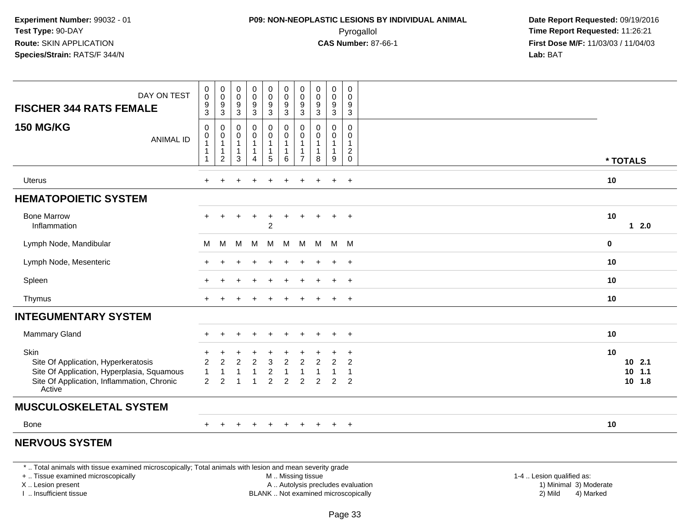## **P09: NON-NEOPLASTIC LESIONS BY INDIVIDUAL ANIMAL**Pyrogallol **Time Report Requested:** 11:26:21

 **Date Report Requested:** 09/19/2016 **First Dose M/F:** 11/03/03 / 11/04/03<br>**Lab:** BAT **Lab:** BAT

| DAY ON TEST<br><b>FISCHER 344 RATS FEMALE</b>                                                                                                     | 0<br>$\mathsf{O}\xspace$<br>$\boldsymbol{9}$<br>$\overline{3}$   | 0<br>$\pmb{0}$<br>9<br>3                                   | $\pmb{0}$<br>$\pmb{0}$<br>$^9_3$                       | $\pmb{0}$<br>$\pmb{0}$<br>$\frac{9}{3}$                                  | $\pmb{0}$<br>$\pmb{0}$<br>$\boldsymbol{9}$<br>$\overline{3}$    | $\pmb{0}$<br>$\mathbf 0$<br>$\boldsymbol{9}$<br>$\overline{3}$ | $\pmb{0}$<br>0<br>9<br>$\mathbf{3}$              | $\pmb{0}$<br>$\pmb{0}$<br>$\frac{9}{3}$     | 0<br>$\pmb{0}$<br>$\frac{9}{3}$                        | $\mathsf{O}$<br>$\mathbf 0$<br>9<br>$\overline{3}$      |  |                                      |
|---------------------------------------------------------------------------------------------------------------------------------------------------|------------------------------------------------------------------|------------------------------------------------------------|--------------------------------------------------------|--------------------------------------------------------------------------|-----------------------------------------------------------------|----------------------------------------------------------------|--------------------------------------------------|---------------------------------------------|--------------------------------------------------------|---------------------------------------------------------|--|--------------------------------------|
|                                                                                                                                                   |                                                                  |                                                            |                                                        |                                                                          |                                                                 |                                                                |                                                  |                                             |                                                        |                                                         |  |                                      |
| <b>150 MG/KG</b><br><b>ANIMAL ID</b>                                                                                                              | $\mathsf 0$<br>0<br>$\mathbf{1}$<br>$\mathbf{1}$<br>$\mathbf{1}$ | 0<br>0<br>$\mathbf{1}$<br>$\overline{1}$<br>$\overline{c}$ | 0<br>0<br>$\mathbf{1}$<br>$\mathbf{1}$<br>$\mathbf{3}$ | $\pmb{0}$<br>$\pmb{0}$<br>$\mathbf{1}$<br>$\mathbf{1}$<br>$\overline{4}$ | 0<br>$\mathsf{O}\xspace$<br>$\mathbf{1}$<br>1<br>$\overline{5}$ | 0<br>$\pmb{0}$<br>$\overline{1}$<br>$\mathbf{1}$<br>$\,6\,$    | 0<br>0<br>$\mathbf{1}$<br>1<br>$\overline{7}$    | 0<br>0<br>$\mathbf{1}$<br>$\mathbf{1}$<br>8 | 0<br>$\mathsf{O}$<br>$\mathbf{1}$<br>$\mathbf{1}$<br>9 | 0<br>0<br>$\mathbf{1}$<br>$\overline{c}$<br>$\mathbf 0$ |  | * TOTALS                             |
|                                                                                                                                                   |                                                                  |                                                            |                                                        |                                                                          |                                                                 |                                                                |                                                  |                                             |                                                        |                                                         |  |                                      |
| Uterus                                                                                                                                            | +                                                                |                                                            |                                                        |                                                                          |                                                                 |                                                                |                                                  |                                             | $\ddot{}$                                              | $\overline{+}$                                          |  | 10                                   |
| <b>HEMATOPOIETIC SYSTEM</b>                                                                                                                       |                                                                  |                                                            |                                                        |                                                                          |                                                                 |                                                                |                                                  |                                             |                                                        |                                                         |  |                                      |
| <b>Bone Marrow</b><br>Inflammation                                                                                                                | +                                                                |                                                            |                                                        | $\ddot{}$                                                                | $\ddot{}$<br>$\overline{2}$                                     |                                                                |                                                  |                                             | $\ddot{}$                                              | $+$                                                     |  | 10<br>$12.0$                         |
| Lymph Node, Mandibular                                                                                                                            | M                                                                | M                                                          | M                                                      | M                                                                        | M                                                               | м                                                              | M                                                | M                                           | M                                                      | <b>M</b>                                                |  | 0                                    |
| Lymph Node, Mesenteric                                                                                                                            |                                                                  |                                                            |                                                        |                                                                          |                                                                 |                                                                |                                                  |                                             | $\ddot{}$                                              | $+$                                                     |  | 10                                   |
| Spleen                                                                                                                                            |                                                                  |                                                            |                                                        |                                                                          |                                                                 |                                                                |                                                  |                                             | $\ddot{}$                                              | $\overline{+}$                                          |  | 10                                   |
| Thymus                                                                                                                                            | $+$                                                              |                                                            |                                                        |                                                                          |                                                                 |                                                                |                                                  |                                             | $+$                                                    | $+$                                                     |  | 10                                   |
| <b>INTEGUMENTARY SYSTEM</b>                                                                                                                       |                                                                  |                                                            |                                                        |                                                                          |                                                                 |                                                                |                                                  |                                             |                                                        |                                                         |  |                                      |
| <b>Mammary Gland</b>                                                                                                                              |                                                                  | ÷                                                          | $\ddot{}$                                              | $\overline{+}$                                                           | $\pm$                                                           | $\ddot{}$                                                      | $\ddot{}$                                        |                                             | $\ddot{}$                                              | $+$                                                     |  | 10                                   |
| Skin<br>Site Of Application, Hyperkeratosis<br>Site Of Application, Hyperplasia, Squamous<br>Site Of Application, Inflammation, Chronic<br>Active | $\overline{c}$<br>$\mathbf{1}$<br>2                              | $\overline{2}$<br>1<br>$\overline{2}$                      | $\overline{c}$                                         | $\sqrt{2}$<br>$\mathbf{1}$<br>$\overline{1}$                             | $\mathbf{3}$<br>$\overline{c}$<br>$\overline{2}$                | $\overline{c}$<br>$\overline{\mathbf{1}}$<br>2                 | $\overline{c}$<br>$\mathbf{1}$<br>$\overline{2}$ | $\overline{2}$<br>$\overline{2}$            | $\overline{c}$<br>1<br>$\overline{2}$                  | $\ddot{}$<br>$\overline{c}$<br>1<br>2                   |  | 10<br>$10$ 2.1<br>$10$ 1.1<br>10 1.8 |
| <b>MUSCULOSKELETAL SYSTEM</b>                                                                                                                     |                                                                  |                                                            |                                                        |                                                                          |                                                                 |                                                                |                                                  |                                             |                                                        |                                                         |  |                                      |
| Bone                                                                                                                                              | $+$                                                              | $\pm$                                                      |                                                        | $\ddot{}$                                                                | $+$                                                             | $+$                                                            | $\ddot{}$                                        | $+$                                         | $+$                                                    | $+$                                                     |  | 10                                   |
| <b>NERVOUS SYSTEM</b>                                                                                                                             |                                                                  |                                                            |                                                        |                                                                          |                                                                 |                                                                |                                                  |                                             |                                                        |                                                         |  |                                      |

\* .. Total animals with tissue examined microscopically; Total animals with lesion and mean severity grade

+ .. Tissue examined microscopically

X .. Lesion present

I .. Insufficient tissue

 M .. Missing tissueA .. Autolysis precludes evaluation

1-4 .. Lesion qualified as:<br>1) Minimal 3) Moderate BLANK .. Not examined microscopically 2) Mild 4) Marked